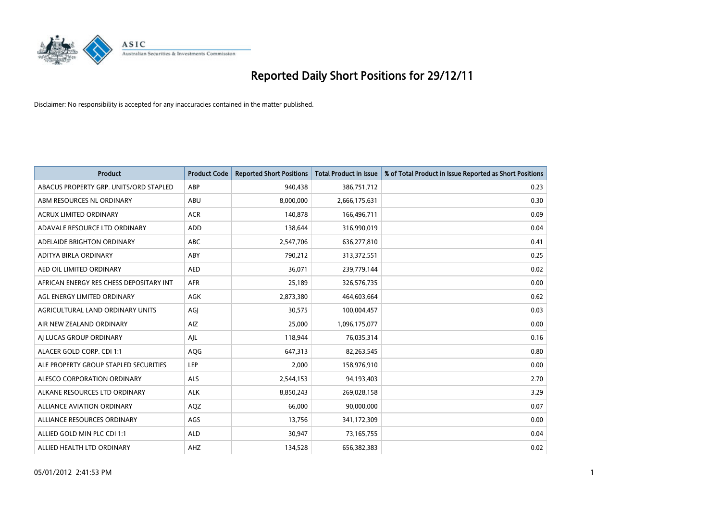

| <b>Product</b>                          | <b>Product Code</b> | <b>Reported Short Positions</b> | <b>Total Product in Issue</b> | % of Total Product in Issue Reported as Short Positions |
|-----------------------------------------|---------------------|---------------------------------|-------------------------------|---------------------------------------------------------|
| ABACUS PROPERTY GRP. UNITS/ORD STAPLED  | ABP                 | 940,438                         | 386,751,712                   | 0.23                                                    |
| ABM RESOURCES NL ORDINARY               | ABU                 | 8,000,000                       | 2,666,175,631                 | 0.30                                                    |
| <b>ACRUX LIMITED ORDINARY</b>           | <b>ACR</b>          | 140,878                         | 166,496,711                   | 0.09                                                    |
| ADAVALE RESOURCE LTD ORDINARY           | <b>ADD</b>          | 138,644                         | 316,990,019                   | 0.04                                                    |
| ADELAIDE BRIGHTON ORDINARY              | <b>ABC</b>          | 2,547,706                       | 636,277,810                   | 0.41                                                    |
| ADITYA BIRLA ORDINARY                   | ABY                 | 790,212                         | 313,372,551                   | 0.25                                                    |
| AED OIL LIMITED ORDINARY                | <b>AED</b>          | 36,071                          | 239,779,144                   | 0.02                                                    |
| AFRICAN ENERGY RES CHESS DEPOSITARY INT | <b>AFR</b>          | 25,189                          | 326,576,735                   | 0.00                                                    |
| AGL ENERGY LIMITED ORDINARY             | AGK                 | 2,873,380                       | 464,603,664                   | 0.62                                                    |
| AGRICULTURAL LAND ORDINARY UNITS        | AGI                 | 30,575                          | 100,004,457                   | 0.03                                                    |
| AIR NEW ZEALAND ORDINARY                | <b>AIZ</b>          | 25,000                          | 1,096,175,077                 | 0.00                                                    |
| AI LUCAS GROUP ORDINARY                 | AJL                 | 118,944                         | 76,035,314                    | 0.16                                                    |
| ALACER GOLD CORP. CDI 1:1               | <b>AQG</b>          | 647,313                         | 82,263,545                    | 0.80                                                    |
| ALE PROPERTY GROUP STAPLED SECURITIES   | LEP                 | 2,000                           | 158,976,910                   | 0.00                                                    |
| ALESCO CORPORATION ORDINARY             | <b>ALS</b>          | 2,544,153                       | 94,193,403                    | 2.70                                                    |
| ALKANE RESOURCES LTD ORDINARY           | <b>ALK</b>          | 8,850,243                       | 269,028,158                   | 3.29                                                    |
| <b>ALLIANCE AVIATION ORDINARY</b>       | AQZ                 | 66,000                          | 90,000,000                    | 0.07                                                    |
| ALLIANCE RESOURCES ORDINARY             | AGS                 | 13,756                          | 341,172,309                   | 0.00                                                    |
| ALLIED GOLD MIN PLC CDI 1:1             | <b>ALD</b>          | 30,947                          | 73,165,755                    | 0.04                                                    |
| ALLIED HEALTH LTD ORDINARY              | AHZ                 | 134.528                         | 656,382,383                   | 0.02                                                    |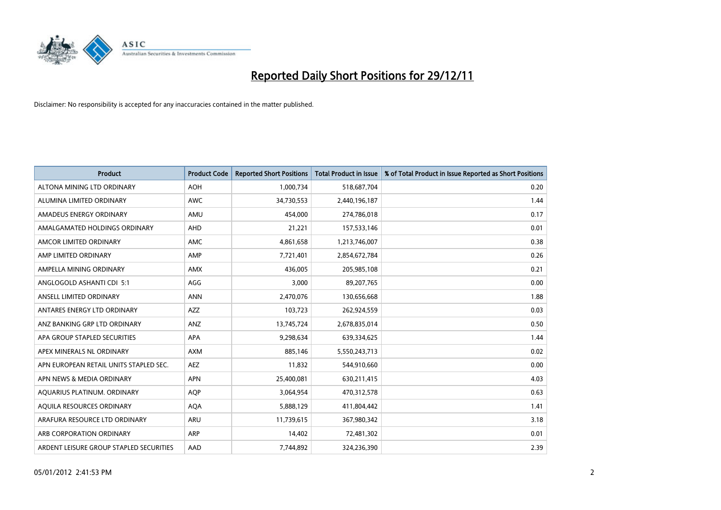

| <b>Product</b>                          | <b>Product Code</b> | <b>Reported Short Positions</b> | <b>Total Product in Issue</b> | % of Total Product in Issue Reported as Short Positions |
|-----------------------------------------|---------------------|---------------------------------|-------------------------------|---------------------------------------------------------|
| ALTONA MINING LTD ORDINARY              | <b>AOH</b>          | 1,000,734                       | 518,687,704                   | 0.20                                                    |
| ALUMINA LIMITED ORDINARY                | <b>AWC</b>          | 34,730,553                      | 2,440,196,187                 | 1.44                                                    |
| AMADEUS ENERGY ORDINARY                 | AMU                 | 454,000                         | 274,786,018                   | 0.17                                                    |
| AMALGAMATED HOLDINGS ORDINARY           | <b>AHD</b>          | 21,221                          | 157,533,146                   | 0.01                                                    |
| AMCOR LIMITED ORDINARY                  | AMC                 | 4,861,658                       | 1,213,746,007                 | 0.38                                                    |
| AMP LIMITED ORDINARY                    | AMP                 | 7,721,401                       | 2,854,672,784                 | 0.26                                                    |
| AMPELLA MINING ORDINARY                 | <b>AMX</b>          | 436.005                         | 205,985,108                   | 0.21                                                    |
| ANGLOGOLD ASHANTI CDI 5:1               | AGG                 | 3,000                           | 89,207,765                    | 0.00                                                    |
| ANSELL LIMITED ORDINARY                 | <b>ANN</b>          | 2,470,076                       | 130,656,668                   | 1.88                                                    |
| ANTARES ENERGY LTD ORDINARY             | AZZ                 | 103,723                         | 262,924,559                   | 0.03                                                    |
| ANZ BANKING GRP LTD ORDINARY            | <b>ANZ</b>          | 13,745,724                      | 2,678,835,014                 | 0.50                                                    |
| APA GROUP STAPLED SECURITIES            | <b>APA</b>          | 9,298,634                       | 639,334,625                   | 1.44                                                    |
| APEX MINERALS NL ORDINARY               | <b>AXM</b>          | 885,146                         | 5,550,243,713                 | 0.02                                                    |
| APN EUROPEAN RETAIL UNITS STAPLED SEC.  | <b>AEZ</b>          | 11,832                          | 544,910,660                   | 0.00                                                    |
| APN NEWS & MEDIA ORDINARY               | <b>APN</b>          | 25,400,081                      | 630,211,415                   | 4.03                                                    |
| AQUARIUS PLATINUM. ORDINARY             | <b>AOP</b>          | 3,064,954                       | 470,312,578                   | 0.63                                                    |
| AQUILA RESOURCES ORDINARY               | <b>AQA</b>          | 5,888,129                       | 411,804,442                   | 1.41                                                    |
| ARAFURA RESOURCE LTD ORDINARY           | <b>ARU</b>          | 11,739,615                      | 367,980,342                   | 3.18                                                    |
| ARB CORPORATION ORDINARY                | ARP                 | 14,402                          | 72,481,302                    | 0.01                                                    |
| ARDENT LEISURE GROUP STAPLED SECURITIES | AAD                 | 7,744,892                       | 324,236,390                   | 2.39                                                    |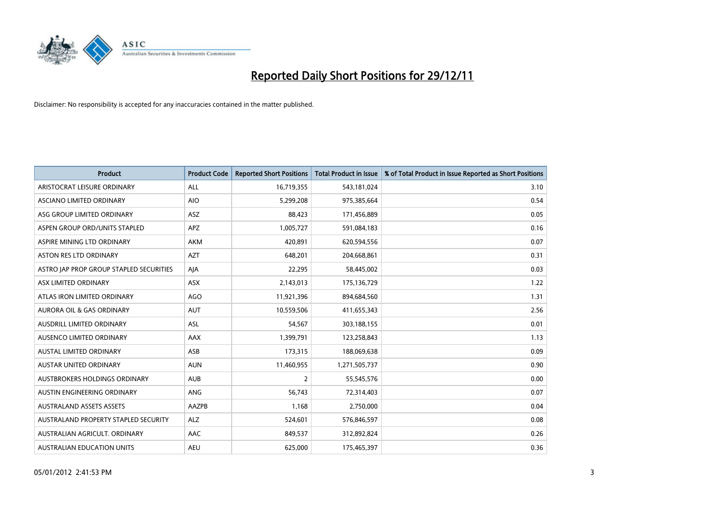

| <b>Product</b>                          | <b>Product Code</b> | <b>Reported Short Positions</b> | <b>Total Product in Issue</b> | % of Total Product in Issue Reported as Short Positions |
|-----------------------------------------|---------------------|---------------------------------|-------------------------------|---------------------------------------------------------|
| ARISTOCRAT LEISURE ORDINARY             | <b>ALL</b>          | 16,719,355                      | 543,181,024                   | 3.10                                                    |
| ASCIANO LIMITED ORDINARY                | <b>AIO</b>          | 5,299,208                       | 975,385,664                   | 0.54                                                    |
| ASG GROUP LIMITED ORDINARY              | ASZ                 | 88,423                          | 171,456,889                   | 0.05                                                    |
| ASPEN GROUP ORD/UNITS STAPLED           | <b>APZ</b>          | 1,005,727                       | 591,084,183                   | 0.16                                                    |
| ASPIRE MINING LTD ORDINARY              | <b>AKM</b>          | 420,891                         | 620,594,556                   | 0.07                                                    |
| ASTON RES LTD ORDINARY                  | <b>AZT</b>          | 648,201                         | 204,668,861                   | 0.31                                                    |
| ASTRO JAP PROP GROUP STAPLED SECURITIES | AIA                 | 22,295                          | 58,445,002                    | 0.03                                                    |
| ASX LIMITED ORDINARY                    | ASX                 | 2,143,013                       | 175,136,729                   | 1.22                                                    |
| ATLAS IRON LIMITED ORDINARY             | <b>AGO</b>          | 11,921,396                      | 894,684,560                   | 1.31                                                    |
| <b>AURORA OIL &amp; GAS ORDINARY</b>    | <b>AUT</b>          | 10,559,506                      | 411,655,343                   | 2.56                                                    |
| <b>AUSDRILL LIMITED ORDINARY</b>        | <b>ASL</b>          | 54,567                          | 303,188,155                   | 0.01                                                    |
| AUSENCO LIMITED ORDINARY                | AAX                 | 1,399,791                       | 123,258,843                   | 1.13                                                    |
| <b>AUSTAL LIMITED ORDINARY</b>          | ASB                 | 173,315                         | 188,069,638                   | 0.09                                                    |
| <b>AUSTAR UNITED ORDINARY</b>           | <b>AUN</b>          | 11,460,955                      | 1,271,505,737                 | 0.90                                                    |
| <b>AUSTBROKERS HOLDINGS ORDINARY</b>    | <b>AUB</b>          | $\overline{2}$                  | 55,545,576                    | 0.00                                                    |
| AUSTIN ENGINEERING ORDINARY             | <b>ANG</b>          | 56,743                          | 72,314,403                    | 0.07                                                    |
| <b>AUSTRALAND ASSETS ASSETS</b>         | AAZPB               | 1,168                           | 2,750,000                     | 0.04                                                    |
| AUSTRALAND PROPERTY STAPLED SECURITY    | <b>ALZ</b>          | 524,601                         | 576,846,597                   | 0.08                                                    |
| AUSTRALIAN AGRICULT, ORDINARY           | AAC                 | 849,537                         | 312,892,824                   | 0.26                                                    |
| <b>AUSTRALIAN EDUCATION UNITS</b>       | <b>AEU</b>          | 625.000                         | 175,465,397                   | 0.36                                                    |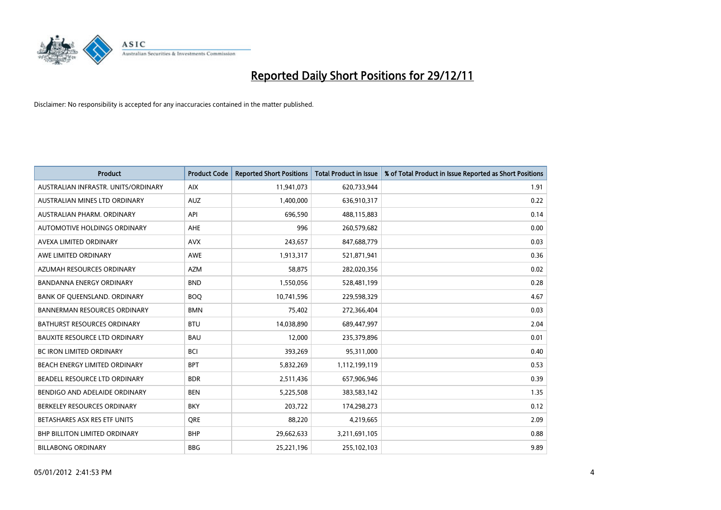

| <b>Product</b>                       | <b>Product Code</b> | <b>Reported Short Positions</b> | <b>Total Product in Issue</b> | % of Total Product in Issue Reported as Short Positions |
|--------------------------------------|---------------------|---------------------------------|-------------------------------|---------------------------------------------------------|
| AUSTRALIAN INFRASTR, UNITS/ORDINARY  | <b>AIX</b>          | 11,941,073                      | 620,733,944                   | 1.91                                                    |
| AUSTRALIAN MINES LTD ORDINARY        | <b>AUZ</b>          | 1,400,000                       | 636,910,317                   | 0.22                                                    |
| AUSTRALIAN PHARM, ORDINARY           | API                 | 696,590                         | 488,115,883                   | 0.14                                                    |
| AUTOMOTIVE HOLDINGS ORDINARY         | <b>AHE</b>          | 996                             | 260,579,682                   | 0.00                                                    |
| AVEXA LIMITED ORDINARY               | <b>AVX</b>          | 243,657                         | 847,688,779                   | 0.03                                                    |
| AWE LIMITED ORDINARY                 | <b>AWE</b>          | 1,913,317                       | 521,871,941                   | 0.36                                                    |
| AZUMAH RESOURCES ORDINARY            | <b>AZM</b>          | 58,875                          | 282,020,356                   | 0.02                                                    |
| <b>BANDANNA ENERGY ORDINARY</b>      | <b>BND</b>          | 1,550,056                       | 528,481,199                   | 0.28                                                    |
| BANK OF QUEENSLAND. ORDINARY         | <b>BOQ</b>          | 10,741,596                      | 229,598,329                   | 4.67                                                    |
| <b>BANNERMAN RESOURCES ORDINARY</b>  | <b>BMN</b>          | 75,402                          | 272,366,404                   | 0.03                                                    |
| <b>BATHURST RESOURCES ORDINARY</b>   | <b>BTU</b>          | 14,038,890                      | 689,447,997                   | 2.04                                                    |
| <b>BAUXITE RESOURCE LTD ORDINARY</b> | <b>BAU</b>          | 12,000                          | 235,379,896                   | 0.01                                                    |
| <b>BC IRON LIMITED ORDINARY</b>      | <b>BCI</b>          | 393,269                         | 95,311,000                    | 0.40                                                    |
| BEACH ENERGY LIMITED ORDINARY        | <b>BPT</b>          | 5,832,269                       | 1,112,199,119                 | 0.53                                                    |
| BEADELL RESOURCE LTD ORDINARY        | <b>BDR</b>          | 2,511,436                       | 657,906,946                   | 0.39                                                    |
| BENDIGO AND ADELAIDE ORDINARY        | <b>BEN</b>          | 5,225,508                       | 383,583,142                   | 1.35                                                    |
| BERKELEY RESOURCES ORDINARY          | <b>BKY</b>          | 203,722                         | 174,298,273                   | 0.12                                                    |
| BETASHARES ASX RES ETF UNITS         | <b>ORE</b>          | 88,220                          | 4,219,665                     | 2.09                                                    |
| <b>BHP BILLITON LIMITED ORDINARY</b> | <b>BHP</b>          | 29,662,633                      | 3,211,691,105                 | 0.88                                                    |
| <b>BILLABONG ORDINARY</b>            | <b>BBG</b>          | 25,221,196                      | 255,102,103                   | 9.89                                                    |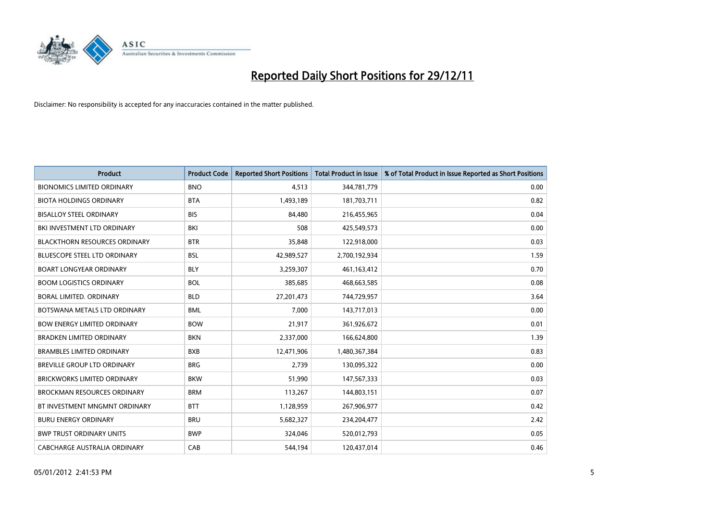

| <b>Product</b>                       | <b>Product Code</b> | <b>Reported Short Positions</b> | <b>Total Product in Issue</b> | % of Total Product in Issue Reported as Short Positions |
|--------------------------------------|---------------------|---------------------------------|-------------------------------|---------------------------------------------------------|
| <b>BIONOMICS LIMITED ORDINARY</b>    | <b>BNO</b>          | 4,513                           | 344,781,779                   | 0.00                                                    |
| <b>BIOTA HOLDINGS ORDINARY</b>       | <b>BTA</b>          | 1,493,189                       | 181,703,711                   | 0.82                                                    |
| <b>BISALLOY STEEL ORDINARY</b>       | <b>BIS</b>          | 84,480                          | 216,455,965                   | 0.04                                                    |
| BKI INVESTMENT LTD ORDINARY          | BKI                 | 508                             | 425,549,573                   | 0.00                                                    |
| <b>BLACKTHORN RESOURCES ORDINARY</b> | <b>BTR</b>          | 35,848                          | 122,918,000                   | 0.03                                                    |
| <b>BLUESCOPE STEEL LTD ORDINARY</b>  | <b>BSL</b>          | 42,989,527                      | 2,700,192,934                 | 1.59                                                    |
| <b>BOART LONGYEAR ORDINARY</b>       | <b>BLY</b>          | 3,259,307                       | 461,163,412                   | 0.70                                                    |
| <b>BOOM LOGISTICS ORDINARY</b>       | <b>BOL</b>          | 385,685                         | 468,663,585                   | 0.08                                                    |
| BORAL LIMITED. ORDINARY              | <b>BLD</b>          | 27,201,473                      | 744,729,957                   | 3.64                                                    |
| BOTSWANA METALS LTD ORDINARY         | <b>BML</b>          | 7.000                           | 143,717,013                   | 0.00                                                    |
| <b>BOW ENERGY LIMITED ORDINARY</b>   | <b>BOW</b>          | 21,917                          | 361,926,672                   | 0.01                                                    |
| <b>BRADKEN LIMITED ORDINARY</b>      | <b>BKN</b>          | 2,337,000                       | 166,624,800                   | 1.39                                                    |
| <b>BRAMBLES LIMITED ORDINARY</b>     | <b>BXB</b>          | 12,471,906                      | 1,480,367,384                 | 0.83                                                    |
| <b>BREVILLE GROUP LTD ORDINARY</b>   | <b>BRG</b>          | 2,739                           | 130,095,322                   | 0.00                                                    |
| <b>BRICKWORKS LIMITED ORDINARY</b>   | <b>BKW</b>          | 51,990                          | 147,567,333                   | 0.03                                                    |
| <b>BROCKMAN RESOURCES ORDINARY</b>   | <b>BRM</b>          | 113,267                         | 144,803,151                   | 0.07                                                    |
| BT INVESTMENT MNGMNT ORDINARY        | <b>BTT</b>          | 1,128,959                       | 267,906,977                   | 0.42                                                    |
| <b>BURU ENERGY ORDINARY</b>          | <b>BRU</b>          | 5,682,327                       | 234,204,477                   | 2.42                                                    |
| <b>BWP TRUST ORDINARY UNITS</b>      | <b>BWP</b>          | 324,046                         | 520,012,793                   | 0.05                                                    |
| CABCHARGE AUSTRALIA ORDINARY         | CAB                 | 544.194                         | 120.437.014                   | 0.46                                                    |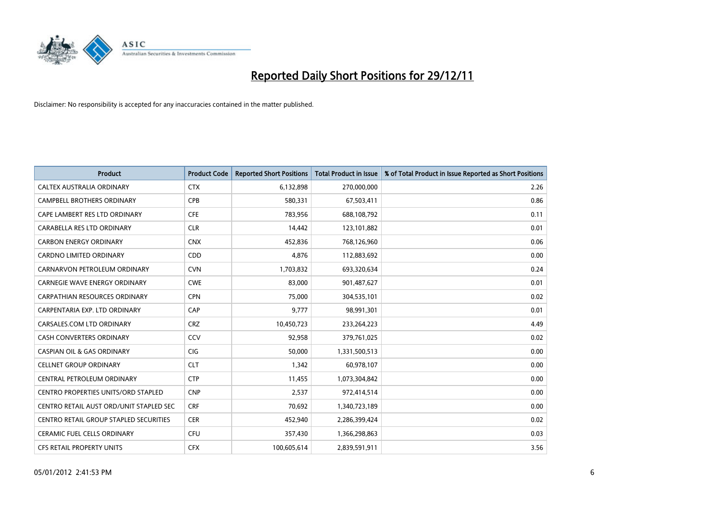

| <b>Product</b>                             | <b>Product Code</b> | <b>Reported Short Positions</b> | <b>Total Product in Issue</b> | % of Total Product in Issue Reported as Short Positions |
|--------------------------------------------|---------------------|---------------------------------|-------------------------------|---------------------------------------------------------|
| CALTEX AUSTRALIA ORDINARY                  | <b>CTX</b>          | 6,132,898                       | 270,000,000                   | 2.26                                                    |
| <b>CAMPBELL BROTHERS ORDINARY</b>          | <b>CPB</b>          | 580,331                         | 67,503,411                    | 0.86                                                    |
| CAPE LAMBERT RES LTD ORDINARY              | <b>CFE</b>          | 783,956                         | 688,108,792                   | 0.11                                                    |
| CARABELLA RES LTD ORDINARY                 | <b>CLR</b>          | 14,442                          | 123,101,882                   | 0.01                                                    |
| <b>CARBON ENERGY ORDINARY</b>              | <b>CNX</b>          | 452,836                         | 768,126,960                   | 0.06                                                    |
| <b>CARDNO LIMITED ORDINARY</b>             | <b>CDD</b>          | 4,876                           | 112,883,692                   | 0.00                                                    |
| CARNARVON PETROLEUM ORDINARY               | <b>CVN</b>          | 1,703,832                       | 693,320,634                   | 0.24                                                    |
| <b>CARNEGIE WAVE ENERGY ORDINARY</b>       | <b>CWE</b>          | 83,000                          | 901,487,627                   | 0.01                                                    |
| CARPATHIAN RESOURCES ORDINARY              | <b>CPN</b>          | 75,000                          | 304,535,101                   | 0.02                                                    |
| CARPENTARIA EXP. LTD ORDINARY              | CAP                 | 9.777                           | 98,991,301                    | 0.01                                                    |
| CARSALES.COM LTD ORDINARY                  | <b>CRZ</b>          | 10,450,723                      | 233, 264, 223                 | 4.49                                                    |
| <b>CASH CONVERTERS ORDINARY</b>            | CCV                 | 92,958                          | 379,761,025                   | 0.02                                                    |
| <b>CASPIAN OIL &amp; GAS ORDINARY</b>      | <b>CIG</b>          | 50.000                          | 1,331,500,513                 | 0.00                                                    |
| <b>CELLNET GROUP ORDINARY</b>              | <b>CLT</b>          | 1,342                           | 60,978,107                    | 0.00                                                    |
| CENTRAL PETROLEUM ORDINARY                 | <b>CTP</b>          | 11,455                          | 1,073,304,842                 | 0.00                                                    |
| <b>CENTRO PROPERTIES UNITS/ORD STAPLED</b> | <b>CNP</b>          | 2,537                           | 972,414,514                   | 0.00                                                    |
| CENTRO RETAIL AUST ORD/UNIT STAPLED SEC    | <b>CRF</b>          | 70,692                          | 1,340,723,189                 | 0.00                                                    |
| CENTRO RETAIL GROUP STAPLED SECURITIES     | <b>CER</b>          | 452,940                         | 2,286,399,424                 | 0.02                                                    |
| <b>CERAMIC FUEL CELLS ORDINARY</b>         | CFU                 | 357,430                         | 1,366,298,863                 | 0.03                                                    |
| <b>CFS RETAIL PROPERTY UNITS</b>           | <b>CFX</b>          | 100.605.614                     | 2,839,591,911                 | 3.56                                                    |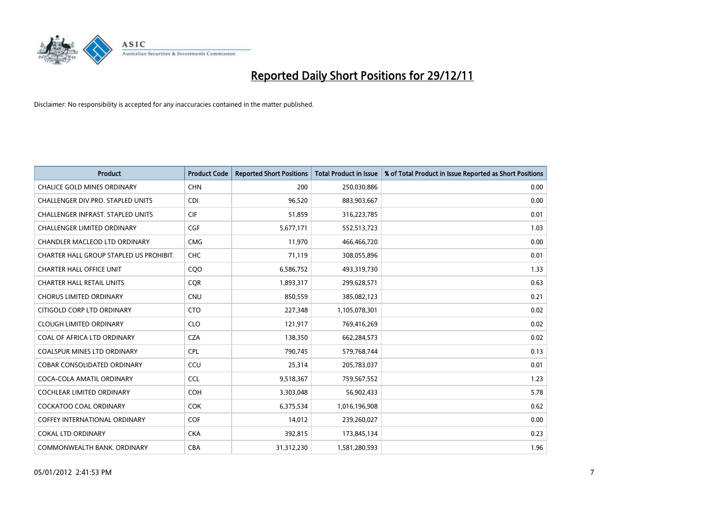

| <b>Product</b>                           | <b>Product Code</b> | <b>Reported Short Positions</b> | Total Product in Issue | % of Total Product in Issue Reported as Short Positions |
|------------------------------------------|---------------------|---------------------------------|------------------------|---------------------------------------------------------|
| <b>CHALICE GOLD MINES ORDINARY</b>       | <b>CHN</b>          | 200                             | 250,030,886            | 0.00                                                    |
| CHALLENGER DIV.PRO. STAPLED UNITS        | <b>CDI</b>          | 96,520                          | 883,903,667            | 0.00                                                    |
| <b>CHALLENGER INFRAST, STAPLED UNITS</b> | <b>CIF</b>          | 51,859                          | 316,223,785            | 0.01                                                    |
| CHALLENGER LIMITED ORDINARY              | <b>CGF</b>          | 5,677,171                       | 552,513,723            | 1.03                                                    |
| CHANDLER MACLEOD LTD ORDINARY            | <b>CMG</b>          | 11.970                          | 466,466,720            | 0.00                                                    |
| CHARTER HALL GROUP STAPLED US PROHIBIT.  | <b>CHC</b>          | 71,119                          | 308,055,896            | 0.01                                                    |
| <b>CHARTER HALL OFFICE UNIT</b>          | COO                 | 6,586,752                       | 493,319,730            | 1.33                                                    |
| <b>CHARTER HALL RETAIL UNITS</b>         | <b>CQR</b>          | 1,893,317                       | 299,628,571            | 0.63                                                    |
| <b>CHORUS LIMITED ORDINARY</b>           | <b>CNU</b>          | 850,559                         | 385,082,123            | 0.21                                                    |
| CITIGOLD CORP LTD ORDINARY               | <b>CTO</b>          | 227,348                         | 1,105,078,301          | 0.02                                                    |
| <b>CLOUGH LIMITED ORDINARY</b>           | <b>CLO</b>          | 121,917                         | 769,416,269            | 0.02                                                    |
| COAL OF AFRICA LTD ORDINARY              | <b>CZA</b>          | 138,350                         | 662,284,573            | 0.02                                                    |
| <b>COALSPUR MINES LTD ORDINARY</b>       | <b>CPL</b>          | 790,745                         | 579,768,744            | 0.13                                                    |
| <b>COBAR CONSOLIDATED ORDINARY</b>       | CCU                 | 25,314                          | 205,783,037            | 0.01                                                    |
| COCA-COLA AMATIL ORDINARY                | <b>CCL</b>          | 9,518,367                       | 759,567,552            | 1.23                                                    |
| <b>COCHLEAR LIMITED ORDINARY</b>         | <b>COH</b>          | 3,303,048                       | 56,902,433             | 5.78                                                    |
| COCKATOO COAL ORDINARY                   | <b>COK</b>          | 6,375,534                       | 1,016,196,908          | 0.62                                                    |
| <b>COFFEY INTERNATIONAL ORDINARY</b>     | <b>COF</b>          | 14,012                          | 239,260,027            | 0.00                                                    |
| <b>COKAL LTD ORDINARY</b>                | <b>CKA</b>          | 392,815                         | 173,845,134            | 0.23                                                    |
| COMMONWEALTH BANK, ORDINARY              | <b>CBA</b>          | 31,312,230                      | 1,581,280,593          | 1.96                                                    |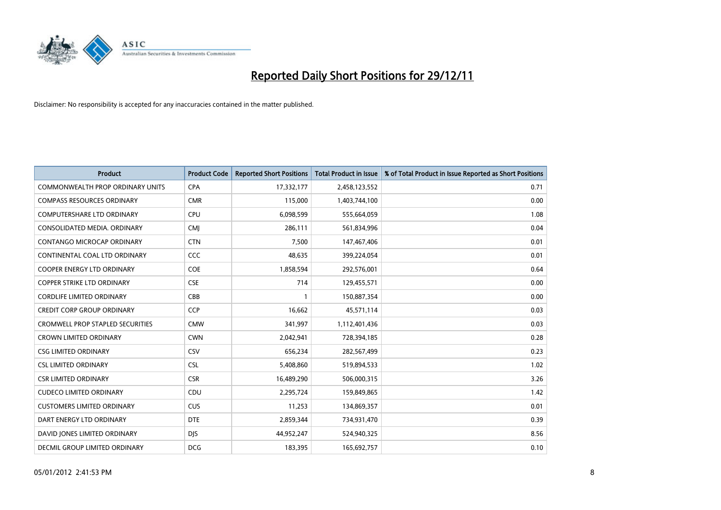

| <b>Product</b>                          | <b>Product Code</b> | <b>Reported Short Positions</b> | <b>Total Product in Issue</b> | % of Total Product in Issue Reported as Short Positions |
|-----------------------------------------|---------------------|---------------------------------|-------------------------------|---------------------------------------------------------|
| <b>COMMONWEALTH PROP ORDINARY UNITS</b> | <b>CPA</b>          | 17,332,177                      | 2,458,123,552                 | 0.71                                                    |
| <b>COMPASS RESOURCES ORDINARY</b>       | <b>CMR</b>          | 115,000                         | 1,403,744,100                 | 0.00                                                    |
| <b>COMPUTERSHARE LTD ORDINARY</b>       | <b>CPU</b>          | 6,098,599                       | 555,664,059                   | 1.08                                                    |
| CONSOLIDATED MEDIA. ORDINARY            | <b>CMI</b>          | 286,111                         | 561,834,996                   | 0.04                                                    |
| <b>CONTANGO MICROCAP ORDINARY</b>       | <b>CTN</b>          | 7.500                           | 147,467,406                   | 0.01                                                    |
| CONTINENTAL COAL LTD ORDINARY           | CCC                 | 48,635                          | 399,224,054                   | 0.01                                                    |
| <b>COOPER ENERGY LTD ORDINARY</b>       | <b>COE</b>          | 1,858,594                       | 292,576,001                   | 0.64                                                    |
| <b>COPPER STRIKE LTD ORDINARY</b>       | <b>CSE</b>          | 714                             | 129,455,571                   | 0.00                                                    |
| <b>CORDLIFE LIMITED ORDINARY</b>        | CBB                 |                                 | 150,887,354                   | 0.00                                                    |
| <b>CREDIT CORP GROUP ORDINARY</b>       | <b>CCP</b>          | 16,662                          | 45,571,114                    | 0.03                                                    |
| <b>CROMWELL PROP STAPLED SECURITIES</b> | <b>CMW</b>          | 341,997                         | 1,112,401,436                 | 0.03                                                    |
| <b>CROWN LIMITED ORDINARY</b>           | <b>CWN</b>          | 2,042,941                       | 728,394,185                   | 0.28                                                    |
| <b>CSG LIMITED ORDINARY</b>             | CSV                 | 656,234                         | 282,567,499                   | 0.23                                                    |
| <b>CSL LIMITED ORDINARY</b>             | <b>CSL</b>          | 5,408,860                       | 519,894,533                   | 1.02                                                    |
| <b>CSR LIMITED ORDINARY</b>             | <b>CSR</b>          | 16,489,290                      | 506,000,315                   | 3.26                                                    |
| <b>CUDECO LIMITED ORDINARY</b>          | CDU                 | 2,295,724                       | 159,849,865                   | 1.42                                                    |
| <b>CUSTOMERS LIMITED ORDINARY</b>       | <b>CUS</b>          | 11,253                          | 134,869,357                   | 0.01                                                    |
| DART ENERGY LTD ORDINARY                | <b>DTE</b>          | 2,859,344                       | 734,931,470                   | 0.39                                                    |
| DAVID JONES LIMITED ORDINARY            | <b>DIS</b>          | 44,952,247                      | 524,940,325                   | 8.56                                                    |
| <b>DECMIL GROUP LIMITED ORDINARY</b>    | <b>DCG</b>          | 183,395                         | 165,692,757                   | 0.10                                                    |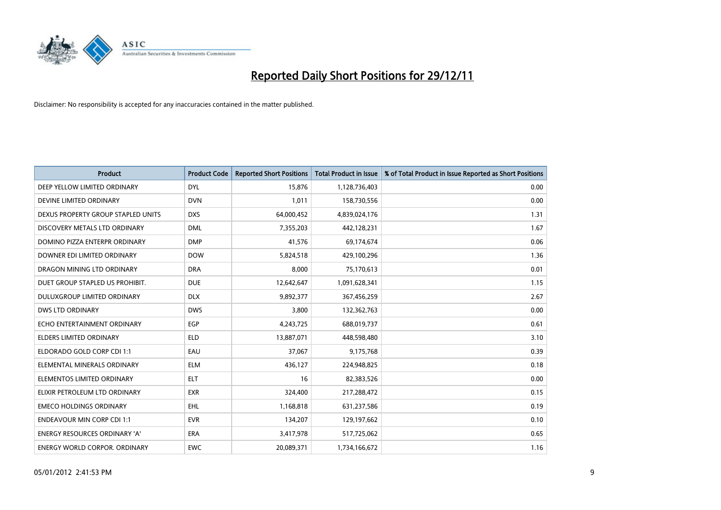

| <b>Product</b>                       | <b>Product Code</b> | <b>Reported Short Positions</b> | <b>Total Product in Issue</b> | % of Total Product in Issue Reported as Short Positions |
|--------------------------------------|---------------------|---------------------------------|-------------------------------|---------------------------------------------------------|
| DEEP YELLOW LIMITED ORDINARY         | <b>DYL</b>          | 15,876                          | 1,128,736,403                 | 0.00                                                    |
| DEVINE LIMITED ORDINARY              | <b>DVN</b>          | 1,011                           | 158,730,556                   | 0.00                                                    |
| DEXUS PROPERTY GROUP STAPLED UNITS   | <b>DXS</b>          | 64,000,452                      | 4,839,024,176                 | 1.31                                                    |
| DISCOVERY METALS LTD ORDINARY        | <b>DML</b>          | 7,355,203                       | 442,128,231                   | 1.67                                                    |
| DOMINO PIZZA ENTERPR ORDINARY        | <b>DMP</b>          | 41,576                          | 69,174,674                    | 0.06                                                    |
| DOWNER EDI LIMITED ORDINARY          | <b>DOW</b>          | 5,824,518                       | 429,100,296                   | 1.36                                                    |
| DRAGON MINING LTD ORDINARY           | <b>DRA</b>          | 8.000                           | 75,170,613                    | 0.01                                                    |
| DUET GROUP STAPLED US PROHIBIT.      | <b>DUE</b>          | 12,642,647                      | 1,091,628,341                 | 1.15                                                    |
| DULUXGROUP LIMITED ORDINARY          | <b>DLX</b>          | 9,892,377                       | 367,456,259                   | 2.67                                                    |
| <b>DWS LTD ORDINARY</b>              | <b>DWS</b>          | 3,800                           | 132,362,763                   | 0.00                                                    |
| ECHO ENTERTAINMENT ORDINARY          | <b>EGP</b>          | 4,243,725                       | 688,019,737                   | 0.61                                                    |
| <b>ELDERS LIMITED ORDINARY</b>       | <b>ELD</b>          | 13,887,071                      | 448,598,480                   | 3.10                                                    |
| ELDORADO GOLD CORP CDI 1:1           | EAU                 | 37,067                          | 9,175,768                     | 0.39                                                    |
| ELEMENTAL MINERALS ORDINARY          | <b>ELM</b>          | 436,127                         | 224,948,825                   | 0.18                                                    |
| ELEMENTOS LIMITED ORDINARY           | <b>ELT</b>          | 16                              | 82,383,526                    | 0.00                                                    |
| ELIXIR PETROLEUM LTD ORDINARY        | <b>EXR</b>          | 324,400                         | 217,288,472                   | 0.15                                                    |
| <b>EMECO HOLDINGS ORDINARY</b>       | <b>EHL</b>          | 1,168,818                       | 631,237,586                   | 0.19                                                    |
| <b>ENDEAVOUR MIN CORP CDI 1:1</b>    | <b>EVR</b>          | 134,207                         | 129,197,662                   | 0.10                                                    |
| <b>ENERGY RESOURCES ORDINARY 'A'</b> | <b>ERA</b>          | 3,417,978                       | 517,725,062                   | 0.65                                                    |
| <b>ENERGY WORLD CORPOR, ORDINARY</b> | <b>EWC</b>          | 20.089.371                      | 1,734,166,672                 | 1.16                                                    |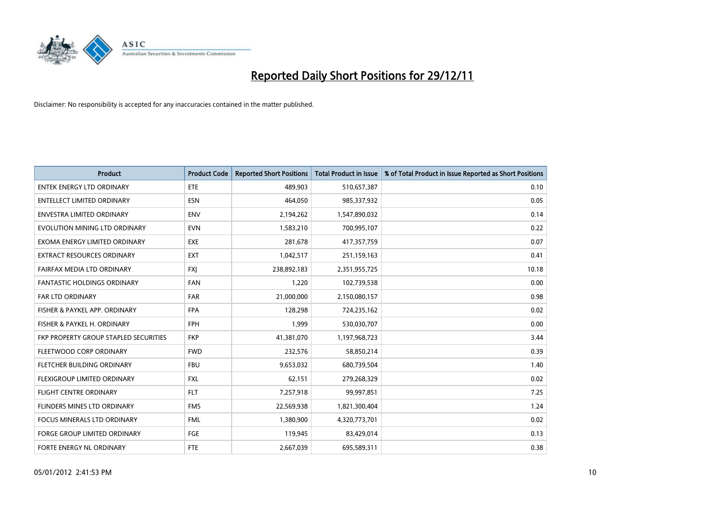

| <b>Product</b>                               | <b>Product Code</b> | <b>Reported Short Positions</b> | <b>Total Product in Issue</b> | % of Total Product in Issue Reported as Short Positions |
|----------------------------------------------|---------------------|---------------------------------|-------------------------------|---------------------------------------------------------|
| <b>ENTEK ENERGY LTD ORDINARY</b>             | ETE                 | 489,903                         | 510,657,387                   | 0.10                                                    |
| <b>ENTELLECT LIMITED ORDINARY</b>            | <b>ESN</b>          | 464,050                         | 985,337,932                   | 0.05                                                    |
| <b>ENVESTRA LIMITED ORDINARY</b>             | <b>ENV</b>          | 2,194,262                       | 1,547,890,032                 | 0.14                                                    |
| EVOLUTION MINING LTD ORDINARY                | <b>EVN</b>          | 1,583,210                       | 700,995,107                   | 0.22                                                    |
| EXOMA ENERGY LIMITED ORDINARY                | <b>EXE</b>          | 281,678                         | 417,357,759                   | 0.07                                                    |
| <b>EXTRACT RESOURCES ORDINARY</b>            | <b>EXT</b>          | 1,042,517                       | 251,159,163                   | 0.41                                                    |
| FAIRFAX MEDIA LTD ORDINARY                   | <b>FXI</b>          | 238,892,183                     | 2,351,955,725                 | 10.18                                                   |
| FANTASTIC HOLDINGS ORDINARY                  | <b>FAN</b>          | 1,220                           | 102,739,538                   | 0.00                                                    |
| <b>FAR LTD ORDINARY</b>                      | <b>FAR</b>          | 21,000,000                      | 2,150,080,157                 | 0.98                                                    |
| FISHER & PAYKEL APP. ORDINARY                | <b>FPA</b>          | 128,298                         | 724,235,162                   | 0.02                                                    |
| FISHER & PAYKEL H. ORDINARY                  | <b>FPH</b>          | 1,999                           | 530,030,707                   | 0.00                                                    |
| <b>FKP PROPERTY GROUP STAPLED SECURITIES</b> | <b>FKP</b>          | 41,381,070                      | 1,197,968,723                 | 3.44                                                    |
| FLEETWOOD CORP ORDINARY                      | <b>FWD</b>          | 232,576                         | 58,850,214                    | 0.39                                                    |
| FLETCHER BUILDING ORDINARY                   | <b>FBU</b>          | 9,653,032                       | 680,739,504                   | 1.40                                                    |
| FLEXIGROUP LIMITED ORDINARY                  | <b>FXL</b>          | 62,151                          | 279,268,329                   | 0.02                                                    |
| FLIGHT CENTRE ORDINARY                       | <b>FLT</b>          | 7,257,918                       | 99,997,851                    | 7.25                                                    |
| FLINDERS MINES LTD ORDINARY                  | <b>FMS</b>          | 22,569,938                      | 1,821,300,404                 | 1.24                                                    |
| FOCUS MINERALS LTD ORDINARY                  | <b>FML</b>          | 1,380,900                       | 4,320,773,701                 | 0.02                                                    |
| <b>FORGE GROUP LIMITED ORDINARY</b>          | FGE                 | 119,945                         | 83,429,014                    | 0.13                                                    |
| FORTE ENERGY NL ORDINARY                     | FTE                 | 2,667,039                       | 695,589,311                   | 0.38                                                    |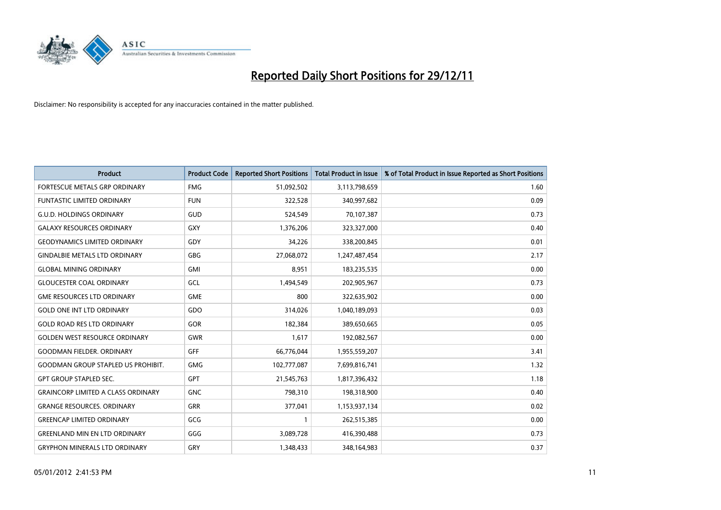

| <b>Product</b>                            | <b>Product Code</b> | <b>Reported Short Positions</b> | <b>Total Product in Issue</b> | % of Total Product in Issue Reported as Short Positions |
|-------------------------------------------|---------------------|---------------------------------|-------------------------------|---------------------------------------------------------|
| <b>FORTESCUE METALS GRP ORDINARY</b>      | <b>FMG</b>          | 51,092,502                      | 3,113,798,659                 | 1.60                                                    |
| <b>FUNTASTIC LIMITED ORDINARY</b>         | <b>FUN</b>          | 322,528                         | 340,997,682                   | 0.09                                                    |
| <b>G.U.D. HOLDINGS ORDINARY</b>           | GUD                 | 524,549                         | 70,107,387                    | 0.73                                                    |
| <b>GALAXY RESOURCES ORDINARY</b>          | GXY                 | 1,376,206                       | 323,327,000                   | 0.40                                                    |
| <b>GEODYNAMICS LIMITED ORDINARY</b>       | GDY                 | 34,226                          | 338,200,845                   | 0.01                                                    |
| <b>GINDALBIE METALS LTD ORDINARY</b>      | GBG                 | 27,068,072                      | 1,247,487,454                 | 2.17                                                    |
| <b>GLOBAL MINING ORDINARY</b>             | <b>GMI</b>          | 8,951                           | 183,235,535                   | 0.00                                                    |
| <b>GLOUCESTER COAL ORDINARY</b>           | GCL                 | 1,494,549                       | 202,905,967                   | 0.73                                                    |
| <b>GME RESOURCES LTD ORDINARY</b>         | <b>GME</b>          | 800                             | 322,635,902                   | 0.00                                                    |
| <b>GOLD ONE INT LTD ORDINARY</b>          | <b>GDO</b>          | 314,026                         | 1,040,189,093                 | 0.03                                                    |
| <b>GOLD ROAD RES LTD ORDINARY</b>         | <b>GOR</b>          | 182,384                         | 389,650,665                   | 0.05                                                    |
| <b>GOLDEN WEST RESOURCE ORDINARY</b>      | <b>GWR</b>          | 1,617                           | 192,082,567                   | 0.00                                                    |
| <b>GOODMAN FIELDER. ORDINARY</b>          | GFF                 | 66,776,044                      | 1,955,559,207                 | 3.41                                                    |
| <b>GOODMAN GROUP STAPLED US PROHIBIT.</b> | <b>GMG</b>          | 102,777,087                     | 7,699,816,741                 | 1.32                                                    |
| <b>GPT GROUP STAPLED SEC.</b>             | <b>GPT</b>          | 21,545,763                      | 1,817,396,432                 | 1.18                                                    |
| <b>GRAINCORP LIMITED A CLASS ORDINARY</b> | <b>GNC</b>          | 798,310                         | 198,318,900                   | 0.40                                                    |
| <b>GRANGE RESOURCES. ORDINARY</b>         | GRR                 | 377,041                         | 1,153,937,134                 | 0.02                                                    |
| <b>GREENCAP LIMITED ORDINARY</b>          | GCG                 |                                 | 262,515,385                   | 0.00                                                    |
| <b>GREENLAND MIN EN LTD ORDINARY</b>      | GGG                 | 3,089,728                       | 416,390,488                   | 0.73                                                    |
| <b>GRYPHON MINERALS LTD ORDINARY</b>      | GRY                 | 1,348,433                       | 348,164,983                   | 0.37                                                    |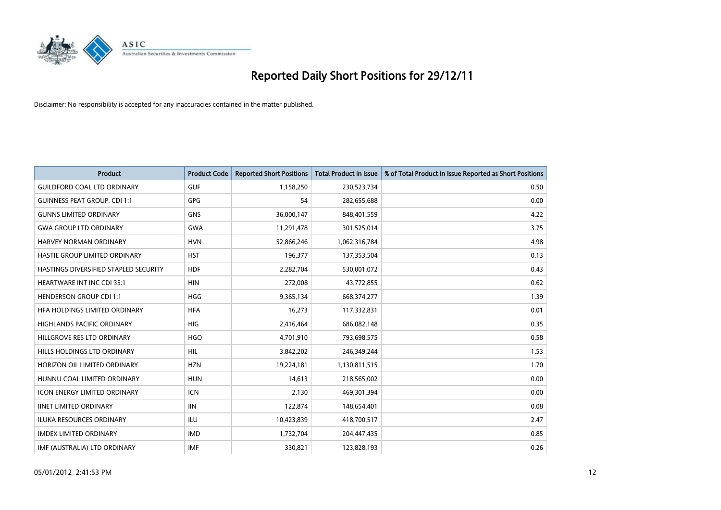

| <b>Product</b>                        | <b>Product Code</b> | <b>Reported Short Positions</b> | <b>Total Product in Issue</b> | % of Total Product in Issue Reported as Short Positions |
|---------------------------------------|---------------------|---------------------------------|-------------------------------|---------------------------------------------------------|
| <b>GUILDFORD COAL LTD ORDINARY</b>    | <b>GUF</b>          | 1,158,250                       | 230,523,734                   | 0.50                                                    |
| <b>GUINNESS PEAT GROUP. CDI 1:1</b>   | <b>GPG</b>          | 54                              | 282,655,688                   | 0.00                                                    |
| <b>GUNNS LIMITED ORDINARY</b>         | <b>GNS</b>          | 36,000,147                      | 848,401,559                   | 4.22                                                    |
| <b>GWA GROUP LTD ORDINARY</b>         | <b>GWA</b>          | 11,291,478                      | 301,525,014                   | 3.75                                                    |
| <b>HARVEY NORMAN ORDINARY</b>         | <b>HVN</b>          | 52,866,246                      | 1,062,316,784                 | 4.98                                                    |
| HASTIE GROUP LIMITED ORDINARY         | <b>HST</b>          | 196,377                         | 137,353,504                   | 0.13                                                    |
| HASTINGS DIVERSIFIED STAPLED SECURITY | <b>HDF</b>          | 2,282,704                       | 530,001,072                   | 0.43                                                    |
| <b>HEARTWARE INT INC CDI 35:1</b>     | <b>HIN</b>          | 272,008                         | 43,772,855                    | 0.62                                                    |
| <b>HENDERSON GROUP CDI 1:1</b>        | <b>HGG</b>          | 9,365,134                       | 668,374,277                   | 1.39                                                    |
| HEA HOLDINGS LIMITED ORDINARY         | <b>HFA</b>          | 16,273                          | 117,332,831                   | 0.01                                                    |
| HIGHLANDS PACIFIC ORDINARY            | <b>HIG</b>          | 2,416,464                       | 686,082,148                   | 0.35                                                    |
| HILLGROVE RES LTD ORDINARY            | <b>HGO</b>          | 4,701,910                       | 793,698,575                   | 0.58                                                    |
| <b>HILLS HOLDINGS LTD ORDINARY</b>    | <b>HIL</b>          | 3,842,202                       | 246,349,244                   | 1.53                                                    |
| HORIZON OIL LIMITED ORDINARY          | <b>HZN</b>          | 19,224,181                      | 1,130,811,515                 | 1.70                                                    |
| HUNNU COAL LIMITED ORDINARY           | <b>HUN</b>          | 14,613                          | 218,565,002                   | 0.00                                                    |
| <b>ICON ENERGY LIMITED ORDINARY</b>   | <b>ICN</b>          | 2,130                           | 469,301,394                   | 0.00                                                    |
| <b>IINET LIMITED ORDINARY</b>         | <b>IIN</b>          | 122,874                         | 148,654,401                   | 0.08                                                    |
| ILUKA RESOURCES ORDINARY              | ILU                 | 10,423,839                      | 418,700,517                   | 2.47                                                    |
| <b>IMDEX LIMITED ORDINARY</b>         | <b>IMD</b>          | 1,732,704                       | 204,447,435                   | 0.85                                                    |
| IMF (AUSTRALIA) LTD ORDINARY          | <b>IMF</b>          | 330,821                         | 123,828,193                   | 0.26                                                    |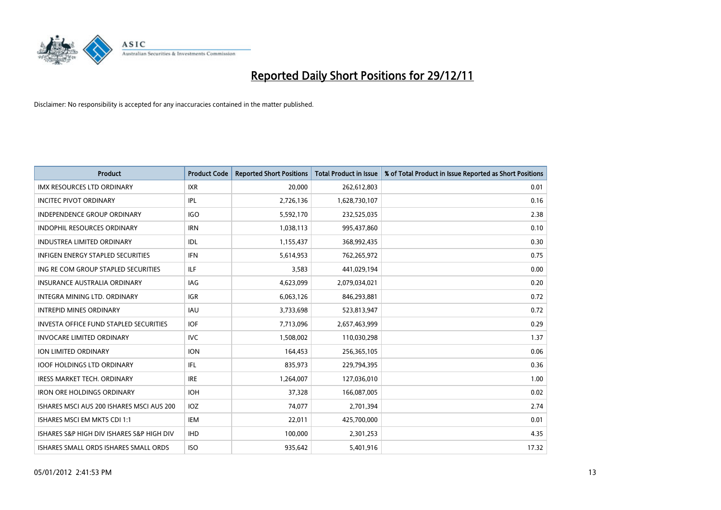

| <b>Product</b>                                | <b>Product Code</b> | <b>Reported Short Positions</b> | <b>Total Product in Issue</b> | % of Total Product in Issue Reported as Short Positions |
|-----------------------------------------------|---------------------|---------------------------------|-------------------------------|---------------------------------------------------------|
| <b>IMX RESOURCES LTD ORDINARY</b>             | <b>IXR</b>          | 20.000                          | 262,612,803                   | 0.01                                                    |
| <b>INCITEC PIVOT ORDINARY</b>                 | IPL                 | 2,726,136                       | 1,628,730,107                 | 0.16                                                    |
| <b>INDEPENDENCE GROUP ORDINARY</b>            | <b>IGO</b>          | 5,592,170                       | 232,525,035                   | 2.38                                                    |
| INDOPHIL RESOURCES ORDINARY                   | <b>IRN</b>          | 1,038,113                       | 995,437,860                   | 0.10                                                    |
| <b>INDUSTREA LIMITED ORDINARY</b>             | <b>IDL</b>          | 1,155,437                       | 368,992,435                   | 0.30                                                    |
| <b>INFIGEN ENERGY STAPLED SECURITIES</b>      | <b>IFN</b>          | 5,614,953                       | 762,265,972                   | 0.75                                                    |
| ING RE COM GROUP STAPLED SECURITIES           | ILF.                | 3.583                           | 441,029,194                   | 0.00                                                    |
| <b>INSURANCE AUSTRALIA ORDINARY</b>           | IAG                 | 4,623,099                       | 2,079,034,021                 | 0.20                                                    |
| INTEGRA MINING LTD. ORDINARY                  | <b>IGR</b>          | 6,063,126                       | 846,293,881                   | 0.72                                                    |
| <b>INTREPID MINES ORDINARY</b>                | <b>IAU</b>          | 3,733,698                       | 523,813,947                   | 0.72                                                    |
| <b>INVESTA OFFICE FUND STAPLED SECURITIES</b> | <b>IOF</b>          | 7,713,096                       | 2,657,463,999                 | 0.29                                                    |
| <b>INVOCARE LIMITED ORDINARY</b>              | <b>IVC</b>          | 1,508,002                       | 110,030,298                   | 1.37                                                    |
| <b>ION LIMITED ORDINARY</b>                   | <b>ION</b>          | 164,453                         | 256,365,105                   | 0.06                                                    |
| <b>IOOF HOLDINGS LTD ORDINARY</b>             | IFL.                | 835,973                         | 229,794,395                   | 0.36                                                    |
| <b>IRESS MARKET TECH. ORDINARY</b>            | <b>IRE</b>          | 1,264,007                       | 127,036,010                   | 1.00                                                    |
| <b>IRON ORE HOLDINGS ORDINARY</b>             | <b>IOH</b>          | 37,328                          | 166,087,005                   | 0.02                                                    |
| ISHARES MSCI AUS 200 ISHARES MSCI AUS 200     | IOZ                 | 74,077                          | 2,701,394                     | 2.74                                                    |
| ISHARES MSCI EM MKTS CDI 1:1                  | IEM                 | 22,011                          | 425,700,000                   | 0.01                                                    |
| ISHARES S&P HIGH DIV ISHARES S&P HIGH DIV     | <b>IHD</b>          | 100,000                         | 2,301,253                     | 4.35                                                    |
| ISHARES SMALL ORDS ISHARES SMALL ORDS         | <b>ISO</b>          | 935.642                         | 5,401,916                     | 17.32                                                   |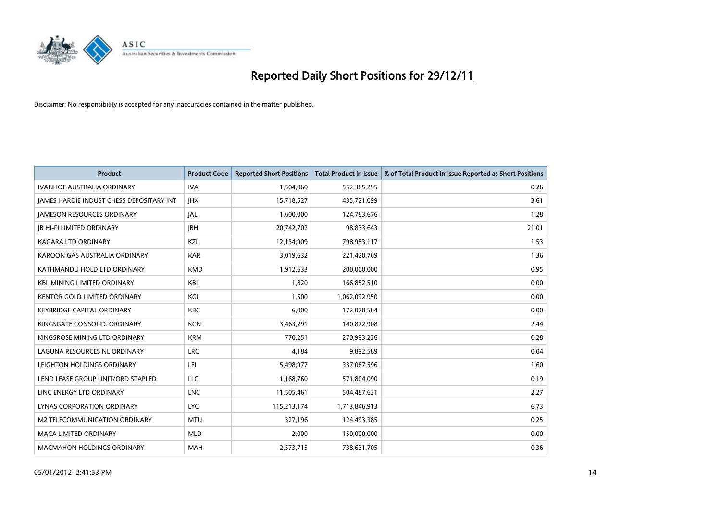

| <b>Product</b>                                  | <b>Product Code</b> | <b>Reported Short Positions</b> | <b>Total Product in Issue</b> | % of Total Product in Issue Reported as Short Positions |
|-------------------------------------------------|---------------------|---------------------------------|-------------------------------|---------------------------------------------------------|
| <b>IVANHOE AUSTRALIA ORDINARY</b>               | <b>IVA</b>          | 1,504,060                       | 552,385,295                   | 0.26                                                    |
| <b>JAMES HARDIE INDUST CHESS DEPOSITARY INT</b> | <b>IHX</b>          | 15,718,527                      | 435,721,099                   | 3.61                                                    |
| <b>JAMESON RESOURCES ORDINARY</b>               | <b>JAL</b>          | 1,600,000                       | 124,783,676                   | 1.28                                                    |
| <b>JB HI-FI LIMITED ORDINARY</b>                | <b>IBH</b>          | 20,742,702                      | 98,833,643                    | 21.01                                                   |
| <b>KAGARA LTD ORDINARY</b>                      | <b>KZL</b>          | 12,134,909                      | 798,953,117                   | 1.53                                                    |
| KAROON GAS AUSTRALIA ORDINARY                   | <b>KAR</b>          | 3,019,632                       | 221,420,769                   | 1.36                                                    |
| KATHMANDU HOLD LTD ORDINARY                     | <b>KMD</b>          | 1,912,633                       | 200,000,000                   | 0.95                                                    |
| <b>KBL MINING LIMITED ORDINARY</b>              | <b>KBL</b>          | 1,820                           | 166,852,510                   | 0.00                                                    |
| KENTOR GOLD LIMITED ORDINARY                    | KGL                 | 1,500                           | 1,062,092,950                 | 0.00                                                    |
| <b>KEYBRIDGE CAPITAL ORDINARY</b>               | <b>KBC</b>          | 6,000                           | 172,070,564                   | 0.00                                                    |
| KINGSGATE CONSOLID. ORDINARY                    | <b>KCN</b>          | 3,463,291                       | 140,872,908                   | 2.44                                                    |
| KINGSROSE MINING LTD ORDINARY                   | <b>KRM</b>          | 770,251                         | 270,993,226                   | 0.28                                                    |
| LAGUNA RESOURCES NL ORDINARY                    | <b>LRC</b>          | 4,184                           | 9,892,589                     | 0.04                                                    |
| LEIGHTON HOLDINGS ORDINARY                      | LEI                 | 5,498,977                       | 337,087,596                   | 1.60                                                    |
| LEND LEASE GROUP UNIT/ORD STAPLED               | <b>LLC</b>          | 1,168,760                       | 571,804,090                   | 0.19                                                    |
| LINC ENERGY LTD ORDINARY                        | <b>LNC</b>          | 11,505,461                      | 504,487,631                   | 2.27                                                    |
| LYNAS CORPORATION ORDINARY                      | <b>LYC</b>          | 115,213,174                     | 1,713,846,913                 | 6.73                                                    |
| M2 TELECOMMUNICATION ORDINARY                   | <b>MTU</b>          | 327,196                         | 124,493,385                   | 0.25                                                    |
| <b>MACA LIMITED ORDINARY</b>                    | <b>MLD</b>          | 2.000                           | 150,000,000                   | 0.00                                                    |
| <b>MACMAHON HOLDINGS ORDINARY</b>               | <b>MAH</b>          | 2,573,715                       | 738,631,705                   | 0.36                                                    |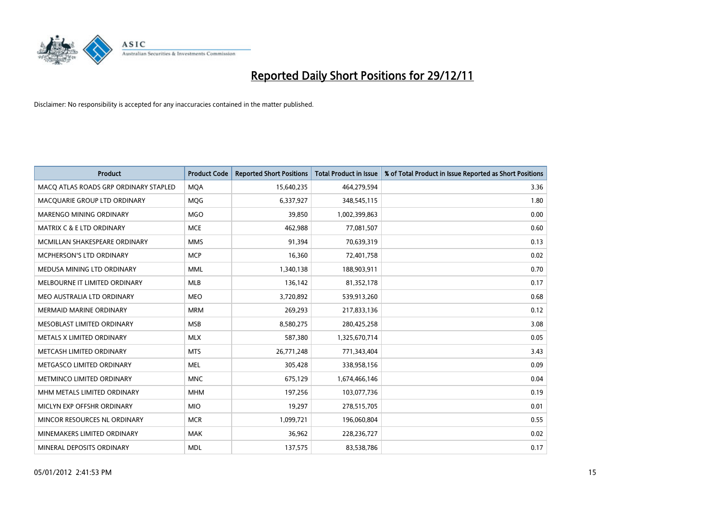

| <b>Product</b>                        | <b>Product Code</b> | <b>Reported Short Positions</b> | <b>Total Product in Issue</b> | % of Total Product in Issue Reported as Short Positions |
|---------------------------------------|---------------------|---------------------------------|-------------------------------|---------------------------------------------------------|
| MACQ ATLAS ROADS GRP ORDINARY STAPLED | <b>MOA</b>          | 15,640,235                      | 464,279,594                   | 3.36                                                    |
| MACQUARIE GROUP LTD ORDINARY          | <b>MOG</b>          | 6,337,927                       | 348,545,115                   | 1.80                                                    |
| <b>MARENGO MINING ORDINARY</b>        | <b>MGO</b>          | 39,850                          | 1,002,399,863                 | 0.00                                                    |
| MATRIX C & E LTD ORDINARY             | <b>MCE</b>          | 462,988                         | 77,081,507                    | 0.60                                                    |
| MCMILLAN SHAKESPEARE ORDINARY         | <b>MMS</b>          | 91,394                          | 70,639,319                    | 0.13                                                    |
| MCPHERSON'S LTD ORDINARY              | <b>MCP</b>          | 16,360                          | 72,401,758                    | 0.02                                                    |
| MEDUSA MINING LTD ORDINARY            | <b>MML</b>          | 1,340,138                       | 188,903,911                   | 0.70                                                    |
| MELBOURNE IT LIMITED ORDINARY         | <b>MLB</b>          | 136,142                         | 81,352,178                    | 0.17                                                    |
| MEO AUSTRALIA LTD ORDINARY            | <b>MEO</b>          | 3,720,892                       | 539,913,260                   | 0.68                                                    |
| <b>MERMAID MARINE ORDINARY</b>        | <b>MRM</b>          | 269,293                         | 217,833,136                   | 0.12                                                    |
| MESOBLAST LIMITED ORDINARY            | <b>MSB</b>          | 8,580,275                       | 280,425,258                   | 3.08                                                    |
| <b>METALS X LIMITED ORDINARY</b>      | <b>MLX</b>          | 587,380                         | 1,325,670,714                 | 0.05                                                    |
| METCASH LIMITED ORDINARY              | <b>MTS</b>          | 26,771,248                      | 771,343,404                   | 3.43                                                    |
| METGASCO LIMITED ORDINARY             | <b>MEL</b>          | 305,428                         | 338,958,156                   | 0.09                                                    |
| METMINCO LIMITED ORDINARY             | <b>MNC</b>          | 675,129                         | 1,674,466,146                 | 0.04                                                    |
| MHM METALS LIMITED ORDINARY           | <b>MHM</b>          | 197,256                         | 103,077,736                   | 0.19                                                    |
| MICLYN EXP OFFSHR ORDINARY            | <b>MIO</b>          | 19,297                          | 278,515,705                   | 0.01                                                    |
| MINCOR RESOURCES NL ORDINARY          | <b>MCR</b>          | 1,099,721                       | 196,060,804                   | 0.55                                                    |
| MINEMAKERS LIMITED ORDINARY           | <b>MAK</b>          | 36,962                          | 228,236,727                   | 0.02                                                    |
| MINERAL DEPOSITS ORDINARY             | <b>MDL</b>          | 137,575                         | 83,538,786                    | 0.17                                                    |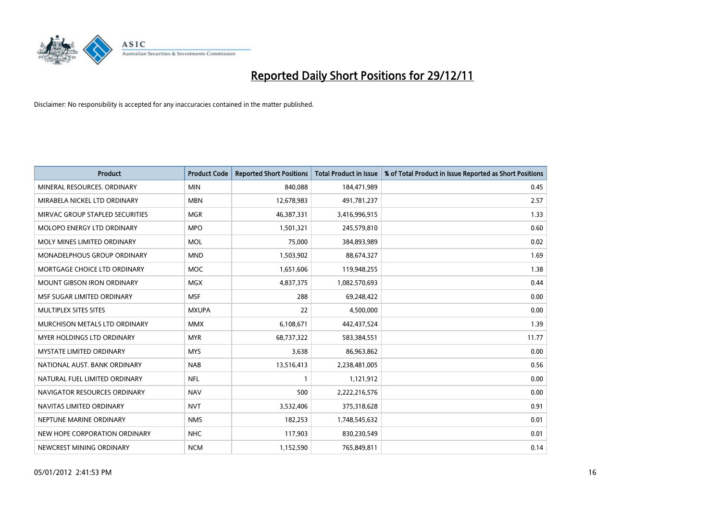

| <b>Product</b>                    | <b>Product Code</b> | <b>Reported Short Positions</b> | Total Product in Issue | % of Total Product in Issue Reported as Short Positions |
|-----------------------------------|---------------------|---------------------------------|------------------------|---------------------------------------------------------|
| MINERAL RESOURCES, ORDINARY       | <b>MIN</b>          | 840.088                         | 184,471,989            | 0.45                                                    |
| MIRABELA NICKEL LTD ORDINARY      | <b>MBN</b>          | 12,678,983                      | 491,781,237            | 2.57                                                    |
| MIRVAC GROUP STAPLED SECURITIES   | <b>MGR</b>          | 46,387,331                      | 3,416,996,915          | 1.33                                                    |
| MOLOPO ENERGY LTD ORDINARY        | <b>MPO</b>          | 1,501,321                       | 245,579,810            | 0.60                                                    |
| MOLY MINES LIMITED ORDINARY       | <b>MOL</b>          | 75,000                          | 384,893,989            | 0.02                                                    |
| MONADELPHOUS GROUP ORDINARY       | <b>MND</b>          | 1,503,902                       | 88,674,327             | 1.69                                                    |
| MORTGAGE CHOICE LTD ORDINARY      | <b>MOC</b>          | 1,651,606                       | 119,948,255            | 1.38                                                    |
| <b>MOUNT GIBSON IRON ORDINARY</b> | <b>MGX</b>          | 4,837,375                       | 1,082,570,693          | 0.44                                                    |
| MSF SUGAR LIMITED ORDINARY        | <b>MSF</b>          | 288                             | 69,248,422             | 0.00                                                    |
| MULTIPLEX SITES SITES             | <b>MXUPA</b>        | 22                              | 4,500,000              | 0.00                                                    |
| MURCHISON METALS LTD ORDINARY     | <b>MMX</b>          | 6,108,671                       | 442,437,524            | 1.39                                                    |
| <b>MYER HOLDINGS LTD ORDINARY</b> | <b>MYR</b>          | 68,737,322                      | 583,384,551            | 11.77                                                   |
| <b>MYSTATE LIMITED ORDINARY</b>   | <b>MYS</b>          | 3,638                           | 86,963,862             | 0.00                                                    |
| NATIONAL AUST. BANK ORDINARY      | <b>NAB</b>          | 13,516,413                      | 2,238,481,005          | 0.56                                                    |
| NATURAL FUEL LIMITED ORDINARY     | <b>NFL</b>          |                                 | 1,121,912              | 0.00                                                    |
| NAVIGATOR RESOURCES ORDINARY      | <b>NAV</b>          | 500                             | 2,222,216,576          | 0.00                                                    |
| NAVITAS LIMITED ORDINARY          | <b>NVT</b>          | 3,532,406                       | 375,318,628            | 0.91                                                    |
| NEPTUNE MARINE ORDINARY           | <b>NMS</b>          | 182,253                         | 1,748,545,632          | 0.01                                                    |
| NEW HOPE CORPORATION ORDINARY     | <b>NHC</b>          | 117,903                         | 830,230,549            | 0.01                                                    |
| NEWCREST MINING ORDINARY          | <b>NCM</b>          | 1,152,590                       | 765,849,811            | 0.14                                                    |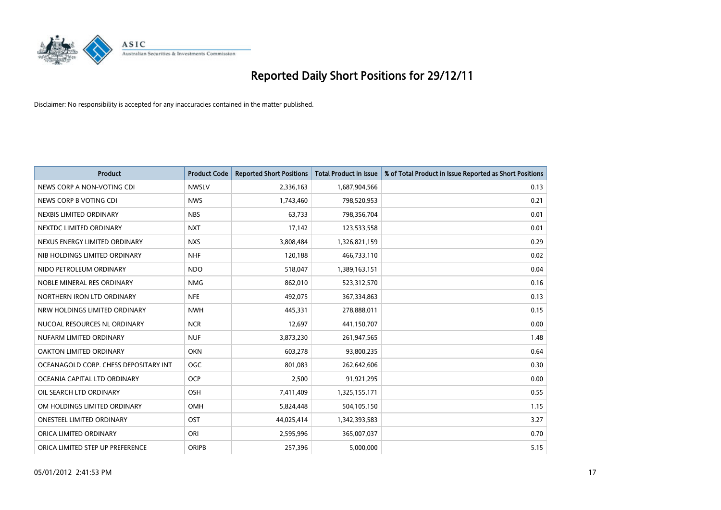

| <b>Product</b>                        | <b>Product Code</b> | <b>Reported Short Positions</b> | <b>Total Product in Issue</b> | % of Total Product in Issue Reported as Short Positions |
|---------------------------------------|---------------------|---------------------------------|-------------------------------|---------------------------------------------------------|
| NEWS CORP A NON-VOTING CDI            | <b>NWSLV</b>        | 2,336,163                       | 1,687,904,566                 | 0.13                                                    |
| NEWS CORP B VOTING CDI                | <b>NWS</b>          | 1,743,460                       | 798,520,953                   | 0.21                                                    |
| NEXBIS LIMITED ORDINARY               | <b>NBS</b>          | 63,733                          | 798,356,704                   | 0.01                                                    |
| NEXTDC LIMITED ORDINARY               | <b>NXT</b>          | 17,142                          | 123,533,558                   | 0.01                                                    |
| NEXUS ENERGY LIMITED ORDINARY         | <b>NXS</b>          | 3,808,484                       | 1,326,821,159                 | 0.29                                                    |
| NIB HOLDINGS LIMITED ORDINARY         | <b>NHF</b>          | 120,188                         | 466,733,110                   | 0.02                                                    |
| NIDO PETROLEUM ORDINARY               | <b>NDO</b>          | 518,047                         | 1,389,163,151                 | 0.04                                                    |
| NOBLE MINERAL RES ORDINARY            | <b>NMG</b>          | 862,010                         | 523,312,570                   | 0.16                                                    |
| NORTHERN IRON LTD ORDINARY            | <b>NFE</b>          | 492,075                         | 367,334,863                   | 0.13                                                    |
| NRW HOLDINGS LIMITED ORDINARY         | <b>NWH</b>          | 445,331                         | 278,888,011                   | 0.15                                                    |
| NUCOAL RESOURCES NL ORDINARY          | <b>NCR</b>          | 12,697                          | 441,150,707                   | 0.00                                                    |
| NUFARM LIMITED ORDINARY               | <b>NUF</b>          | 3,873,230                       | 261,947,565                   | 1.48                                                    |
| OAKTON LIMITED ORDINARY               | <b>OKN</b>          | 603,278                         | 93,800,235                    | 0.64                                                    |
| OCEANAGOLD CORP. CHESS DEPOSITARY INT | <b>OGC</b>          | 801.083                         | 262,642,606                   | 0.30                                                    |
| OCEANIA CAPITAL LTD ORDINARY          | <b>OCP</b>          | 2,500                           | 91,921,295                    | 0.00                                                    |
| OIL SEARCH LTD ORDINARY               | OSH                 | 7,411,409                       | 1,325,155,171                 | 0.55                                                    |
| OM HOLDINGS LIMITED ORDINARY          | OMH                 | 5,824,448                       | 504,105,150                   | 1.15                                                    |
| ONESTEEL LIMITED ORDINARY             | OST                 | 44,025,414                      | 1,342,393,583                 | 3.27                                                    |
| ORICA LIMITED ORDINARY                | ORI                 | 2,595,996                       | 365,007,037                   | 0.70                                                    |
| ORICA LIMITED STEP UP PREFERENCE      | <b>ORIPB</b>        | 257,396                         | 5,000,000                     | 5.15                                                    |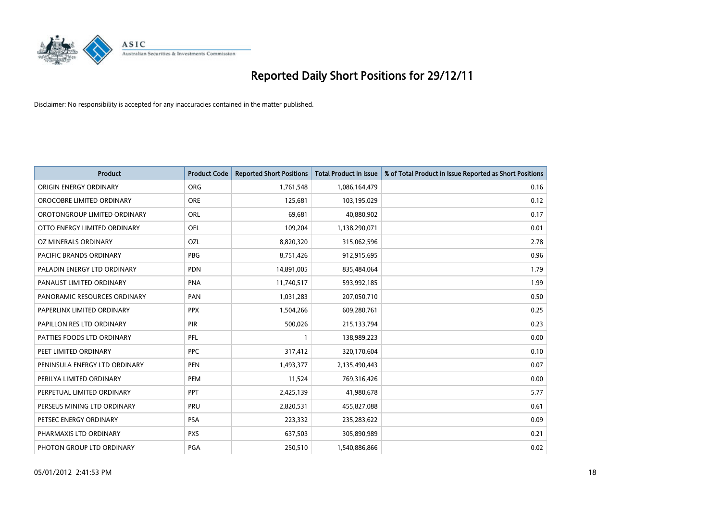

| <b>Product</b>                 | <b>Product Code</b> | <b>Reported Short Positions</b> | <b>Total Product in Issue</b> | % of Total Product in Issue Reported as Short Positions |
|--------------------------------|---------------------|---------------------------------|-------------------------------|---------------------------------------------------------|
| ORIGIN ENERGY ORDINARY         | ORG                 | 1,761,548                       | 1,086,164,479                 | 0.16                                                    |
| OROCOBRE LIMITED ORDINARY      | <b>ORE</b>          | 125,681                         | 103,195,029                   | 0.12                                                    |
| OROTONGROUP LIMITED ORDINARY   | ORL                 | 69,681                          | 40,880,902                    | 0.17                                                    |
| OTTO ENERGY LIMITED ORDINARY   | <b>OEL</b>          | 109,204                         | 1,138,290,071                 | 0.01                                                    |
| OZ MINERALS ORDINARY           | OZL                 | 8,820,320                       | 315,062,596                   | 2.78                                                    |
| <b>PACIFIC BRANDS ORDINARY</b> | <b>PBG</b>          | 8,751,426                       | 912,915,695                   | 0.96                                                    |
| PALADIN ENERGY LTD ORDINARY    | <b>PDN</b>          | 14,891,005                      | 835,484,064                   | 1.79                                                    |
| PANAUST LIMITED ORDINARY       | <b>PNA</b>          | 11,740,517                      | 593,992,185                   | 1.99                                                    |
| PANORAMIC RESOURCES ORDINARY   | PAN                 | 1,031,283                       | 207,050,710                   | 0.50                                                    |
| PAPERLINX LIMITED ORDINARY     | <b>PPX</b>          | 1,504,266                       | 609,280,761                   | 0.25                                                    |
| PAPILLON RES LTD ORDINARY      | PIR                 | 500,026                         | 215,133,794                   | 0.23                                                    |
| PATTIES FOODS LTD ORDINARY     | PFL                 |                                 | 138,989,223                   | 0.00                                                    |
| PEET LIMITED ORDINARY          | <b>PPC</b>          | 317,412                         | 320,170,604                   | 0.10                                                    |
| PENINSULA ENERGY LTD ORDINARY  | <b>PEN</b>          | 1,493,377                       | 2,135,490,443                 | 0.07                                                    |
| PERILYA LIMITED ORDINARY       | PEM                 | 11,524                          | 769,316,426                   | 0.00                                                    |
| PERPETUAL LIMITED ORDINARY     | <b>PPT</b>          | 2,425,139                       | 41,980,678                    | 5.77                                                    |
| PERSEUS MINING LTD ORDINARY    | PRU                 | 2,820,531                       | 455,827,088                   | 0.61                                                    |
| PETSEC ENERGY ORDINARY         | <b>PSA</b>          | 223,332                         | 235,283,622                   | 0.09                                                    |
| PHARMAXIS LTD ORDINARY         | <b>PXS</b>          | 637,503                         | 305,890,989                   | 0.21                                                    |
| PHOTON GROUP LTD ORDINARY      | <b>PGA</b>          | 250,510                         | 1,540,886,866                 | 0.02                                                    |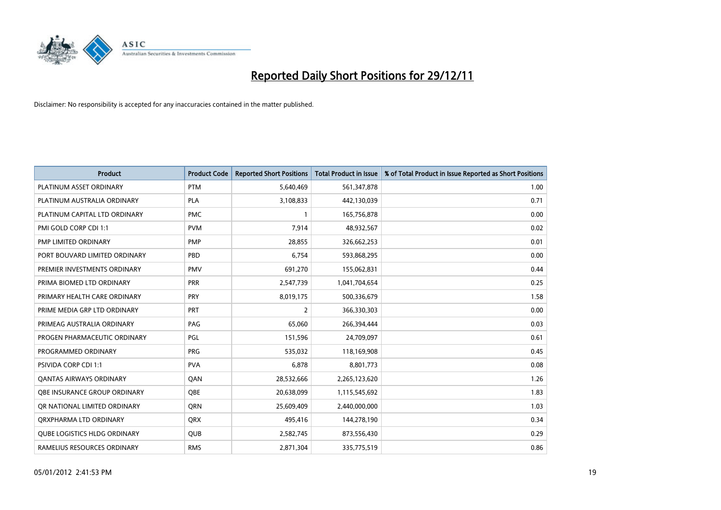

| <b>Product</b>                      | <b>Product Code</b> | <b>Reported Short Positions</b> | <b>Total Product in Issue</b> | % of Total Product in Issue Reported as Short Positions |
|-------------------------------------|---------------------|---------------------------------|-------------------------------|---------------------------------------------------------|
| PLATINUM ASSET ORDINARY             | <b>PTM</b>          | 5,640,469                       | 561,347,878                   | 1.00                                                    |
| PLATINUM AUSTRALIA ORDINARY         | <b>PLA</b>          | 3,108,833                       | 442,130,039                   | 0.71                                                    |
| PLATINUM CAPITAL LTD ORDINARY       | <b>PMC</b>          |                                 | 165,756,878                   | 0.00                                                    |
| PMI GOLD CORP CDI 1:1               | <b>PVM</b>          | 7,914                           | 48,932,567                    | 0.02                                                    |
| PMP LIMITED ORDINARY                | <b>PMP</b>          | 28,855                          | 326,662,253                   | 0.01                                                    |
| PORT BOUVARD LIMITED ORDINARY       | PBD                 | 6,754                           | 593,868,295                   | 0.00                                                    |
| PREMIER INVESTMENTS ORDINARY        | <b>PMV</b>          | 691,270                         | 155,062,831                   | 0.44                                                    |
| PRIMA BIOMED LTD ORDINARY           | <b>PRR</b>          | 2,547,739                       | 1,041,704,654                 | 0.25                                                    |
| PRIMARY HEALTH CARE ORDINARY        | <b>PRY</b>          | 8,019,175                       | 500,336,679                   | 1.58                                                    |
| PRIME MEDIA GRP LTD ORDINARY        | <b>PRT</b>          | 2                               | 366,330,303                   | 0.00                                                    |
| PRIMEAG AUSTRALIA ORDINARY          | PAG                 | 65,060                          | 266,394,444                   | 0.03                                                    |
| PROGEN PHARMACEUTIC ORDINARY        | PGL                 | 151,596                         | 24,709,097                    | 0.61                                                    |
| PROGRAMMED ORDINARY                 | PRG                 | 535,032                         | 118,169,908                   | 0.45                                                    |
| <b>PSIVIDA CORP CDI 1:1</b>         | <b>PVA</b>          | 6,878                           | 8,801,773                     | 0.08                                                    |
| <b>QANTAS AIRWAYS ORDINARY</b>      | QAN                 | 28,532,666                      | 2,265,123,620                 | 1.26                                                    |
| <b>OBE INSURANCE GROUP ORDINARY</b> | <b>OBE</b>          | 20,638,099                      | 1,115,545,692                 | 1.83                                                    |
| OR NATIONAL LIMITED ORDINARY        | <b>ORN</b>          | 25,609,409                      | 2,440,000,000                 | 1.03                                                    |
| ORXPHARMA LTD ORDINARY              | <b>QRX</b>          | 495,416                         | 144,278,190                   | 0.34                                                    |
| <b>QUBE LOGISTICS HLDG ORDINARY</b> | <b>QUB</b>          | 2,582,745                       | 873,556,430                   | 0.29                                                    |
| RAMELIUS RESOURCES ORDINARY         | <b>RMS</b>          | 2,871,304                       | 335,775,519                   | 0.86                                                    |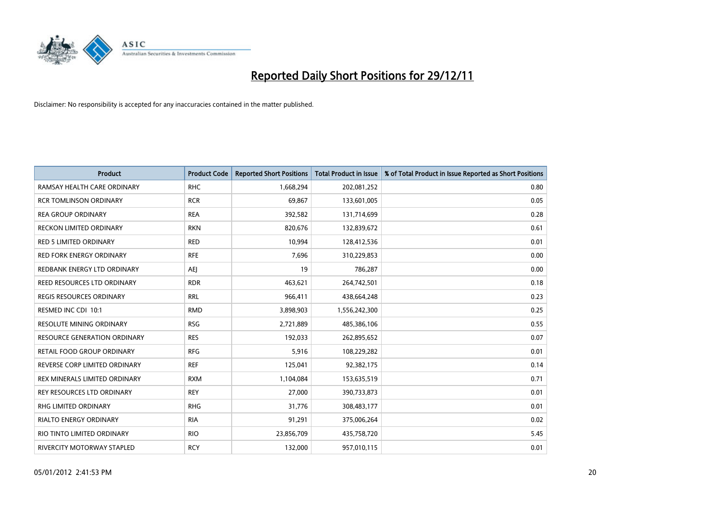

| <b>Product</b>                      | <b>Product Code</b> | <b>Reported Short Positions</b> | <b>Total Product in Issue</b> | % of Total Product in Issue Reported as Short Positions |
|-------------------------------------|---------------------|---------------------------------|-------------------------------|---------------------------------------------------------|
| RAMSAY HEALTH CARE ORDINARY         | <b>RHC</b>          | 1,668,294                       | 202,081,252                   | 0.80                                                    |
| <b>RCR TOMLINSON ORDINARY</b>       | <b>RCR</b>          | 69,867                          | 133,601,005                   | 0.05                                                    |
| <b>REA GROUP ORDINARY</b>           | <b>REA</b>          | 392,582                         | 131,714,699                   | 0.28                                                    |
| RECKON LIMITED ORDINARY             | <b>RKN</b>          | 820,676                         | 132,839,672                   | 0.61                                                    |
| <b>RED 5 LIMITED ORDINARY</b>       | <b>RED</b>          | 10,994                          | 128,412,536                   | 0.01                                                    |
| <b>RED FORK ENERGY ORDINARY</b>     | <b>RFE</b>          | 7,696                           | 310,229,853                   | 0.00                                                    |
| REDBANK ENERGY LTD ORDINARY         | AEJ                 | 19                              | 786,287                       | 0.00                                                    |
| REED RESOURCES LTD ORDINARY         | <b>RDR</b>          | 463,621                         | 264,742,501                   | 0.18                                                    |
| REGIS RESOURCES ORDINARY            | <b>RRL</b>          | 966,411                         | 438,664,248                   | 0.23                                                    |
| RESMED INC CDI 10:1                 | <b>RMD</b>          | 3,898,903                       | 1,556,242,300                 | 0.25                                                    |
| <b>RESOLUTE MINING ORDINARY</b>     | <b>RSG</b>          | 2,721,889                       | 485,386,106                   | 0.55                                                    |
| <b>RESOURCE GENERATION ORDINARY</b> | <b>RES</b>          | 192,033                         | 262,895,652                   | 0.07                                                    |
| RETAIL FOOD GROUP ORDINARY          | <b>RFG</b>          | 5,916                           | 108,229,282                   | 0.01                                                    |
| REVERSE CORP LIMITED ORDINARY       | <b>REF</b>          | 125,041                         | 92,382,175                    | 0.14                                                    |
| REX MINERALS LIMITED ORDINARY       | <b>RXM</b>          | 1,104,084                       | 153,635,519                   | 0.71                                                    |
| REY RESOURCES LTD ORDINARY          | <b>REY</b>          | 27,000                          | 390,733,873                   | 0.01                                                    |
| RHG LIMITED ORDINARY                | <b>RHG</b>          | 31,776                          | 308,483,177                   | 0.01                                                    |
| <b>RIALTO ENERGY ORDINARY</b>       | <b>RIA</b>          | 91,291                          | 375,006,264                   | 0.02                                                    |
| RIO TINTO LIMITED ORDINARY          | <b>RIO</b>          | 23,856,709                      | 435,758,720                   | 5.45                                                    |
| RIVERCITY MOTORWAY STAPLED          | <b>RCY</b>          | 132.000                         | 957,010,115                   | 0.01                                                    |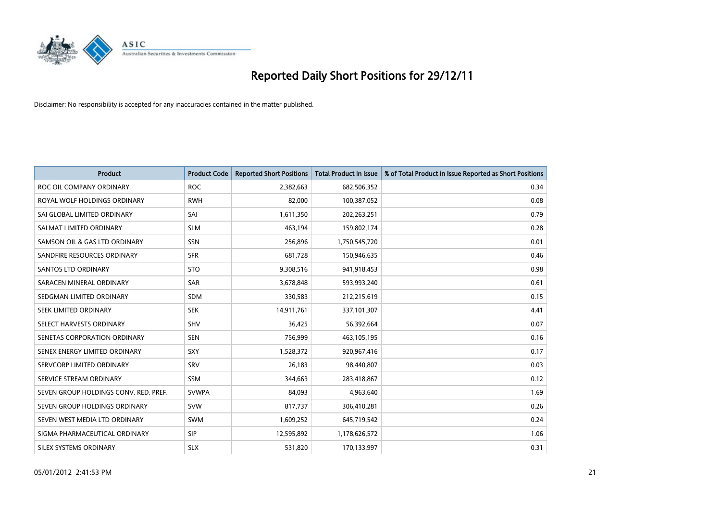

| <b>Product</b>                        | <b>Product Code</b> | <b>Reported Short Positions</b> | <b>Total Product in Issue</b> | % of Total Product in Issue Reported as Short Positions |
|---------------------------------------|---------------------|---------------------------------|-------------------------------|---------------------------------------------------------|
| ROC OIL COMPANY ORDINARY              | <b>ROC</b>          | 2,382,663                       | 682,506,352                   | 0.34                                                    |
| ROYAL WOLF HOLDINGS ORDINARY          | <b>RWH</b>          | 82,000                          | 100,387,052                   | 0.08                                                    |
| SAI GLOBAL LIMITED ORDINARY           | SAI                 | 1,611,350                       | 202,263,251                   | 0.79                                                    |
| SALMAT LIMITED ORDINARY               | <b>SLM</b>          | 463,194                         | 159,802,174                   | 0.28                                                    |
| SAMSON OIL & GAS LTD ORDINARY         | SSN                 | 256,896                         | 1,750,545,720                 | 0.01                                                    |
| SANDFIRE RESOURCES ORDINARY           | <b>SFR</b>          | 681,728                         | 150,946,635                   | 0.46                                                    |
| <b>SANTOS LTD ORDINARY</b>            | <b>STO</b>          | 9,308,516                       | 941,918,453                   | 0.98                                                    |
| SARACEN MINERAL ORDINARY              | SAR                 | 3,678,848                       | 593,993,240                   | 0.61                                                    |
| SEDGMAN LIMITED ORDINARY              | <b>SDM</b>          | 330,583                         | 212,215,619                   | 0.15                                                    |
| SEEK LIMITED ORDINARY                 | <b>SEK</b>          | 14,911,761                      | 337,101,307                   | 4.41                                                    |
| SELECT HARVESTS ORDINARY              | SHV                 | 36,425                          | 56,392,664                    | 0.07                                                    |
| SENETAS CORPORATION ORDINARY          | <b>SEN</b>          | 756,999                         | 463,105,195                   | 0.16                                                    |
| SENEX ENERGY LIMITED ORDINARY         | SXY                 | 1,528,372                       | 920,967,416                   | 0.17                                                    |
| SERVCORP LIMITED ORDINARY             | SRV                 | 26,183                          | 98,440,807                    | 0.03                                                    |
| SERVICE STREAM ORDINARY               | <b>SSM</b>          | 344,663                         | 283,418,867                   | 0.12                                                    |
| SEVEN GROUP HOLDINGS CONV. RED. PREF. | <b>SVWPA</b>        | 84,093                          | 4,963,640                     | 1.69                                                    |
| SEVEN GROUP HOLDINGS ORDINARY         | <b>SVW</b>          | 817,737                         | 306,410,281                   | 0.26                                                    |
| SEVEN WEST MEDIA LTD ORDINARY         | <b>SWM</b>          | 1,609,252                       | 645,719,542                   | 0.24                                                    |
| SIGMA PHARMACEUTICAL ORDINARY         | <b>SIP</b>          | 12,595,892                      | 1,178,626,572                 | 1.06                                                    |
| SILEX SYSTEMS ORDINARY                | <b>SLX</b>          | 531,820                         | 170,133,997                   | 0.31                                                    |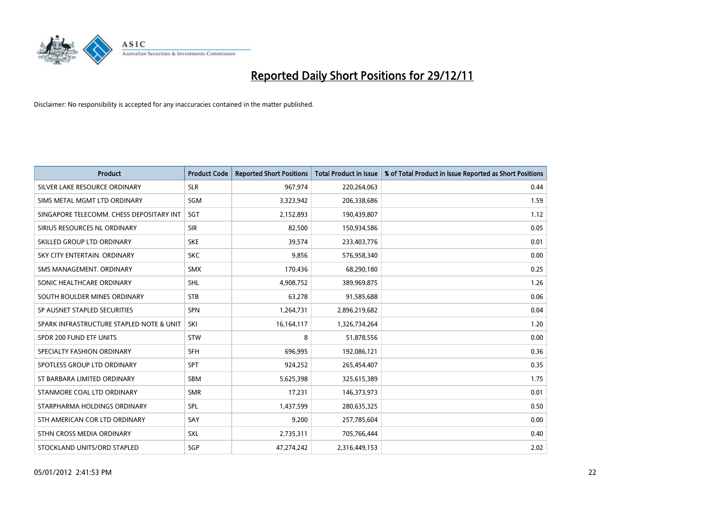

| <b>Product</b>                           | <b>Product Code</b> | <b>Reported Short Positions</b> | <b>Total Product in Issue</b> | % of Total Product in Issue Reported as Short Positions |
|------------------------------------------|---------------------|---------------------------------|-------------------------------|---------------------------------------------------------|
| SILVER LAKE RESOURCE ORDINARY            | <b>SLR</b>          | 967,974                         | 220,264,063                   | 0.44                                                    |
| SIMS METAL MGMT LTD ORDINARY             | SGM                 | 3,323,942                       | 206,338,686                   | 1.59                                                    |
| SINGAPORE TELECOMM. CHESS DEPOSITARY INT | SGT                 | 2,152,893                       | 190,439,807                   | 1.12                                                    |
| SIRIUS RESOURCES NL ORDINARY             | <b>SIR</b>          | 82,500                          | 150,934,586                   | 0.05                                                    |
| SKILLED GROUP LTD ORDINARY               | <b>SKE</b>          | 39.574                          | 233,403,776                   | 0.01                                                    |
| SKY CITY ENTERTAIN, ORDINARY             | <b>SKC</b>          | 9,856                           | 576,958,340                   | 0.00                                                    |
| SMS MANAGEMENT, ORDINARY                 | <b>SMX</b>          | 170,436                         | 68,290,180                    | 0.25                                                    |
| SONIC HEALTHCARE ORDINARY                | <b>SHL</b>          | 4,908,752                       | 389,969,875                   | 1.26                                                    |
| SOUTH BOULDER MINES ORDINARY             | <b>STB</b>          | 63,278                          | 91,585,688                    | 0.06                                                    |
| SP AUSNET STAPLED SECURITIES             | <b>SPN</b>          | 1,264,731                       | 2,896,219,682                 | 0.04                                                    |
| SPARK INFRASTRUCTURE STAPLED NOTE & UNIT | SKI                 | 16,164,117                      | 1,326,734,264                 | 1.20                                                    |
| SPDR 200 FUND ETF UNITS                  | <b>STW</b>          | 8                               | 51,878,556                    | 0.00                                                    |
| SPECIALTY FASHION ORDINARY               | <b>SFH</b>          | 696,995                         | 192,086,121                   | 0.36                                                    |
| SPOTLESS GROUP LTD ORDINARY              | <b>SPT</b>          | 924,252                         | 265,454,407                   | 0.35                                                    |
| ST BARBARA LIMITED ORDINARY              | <b>SBM</b>          | 5,625,398                       | 325,615,389                   | 1.75                                                    |
| STANMORE COAL LTD ORDINARY               | <b>SMR</b>          | 17,231                          | 146,373,973                   | 0.01                                                    |
| STARPHARMA HOLDINGS ORDINARY             | SPL                 | 1,437,599                       | 280,635,325                   | 0.50                                                    |
| STH AMERICAN COR LTD ORDINARY            | SAY                 | 9,200                           | 257,785,604                   | 0.00                                                    |
| STHN CROSS MEDIA ORDINARY                | <b>SXL</b>          | 2,735,311                       | 705,766,444                   | 0.40                                                    |
| STOCKLAND UNITS/ORD STAPLED              | SGP                 | 47.274.242                      | 2,316,449,153                 | 2.02                                                    |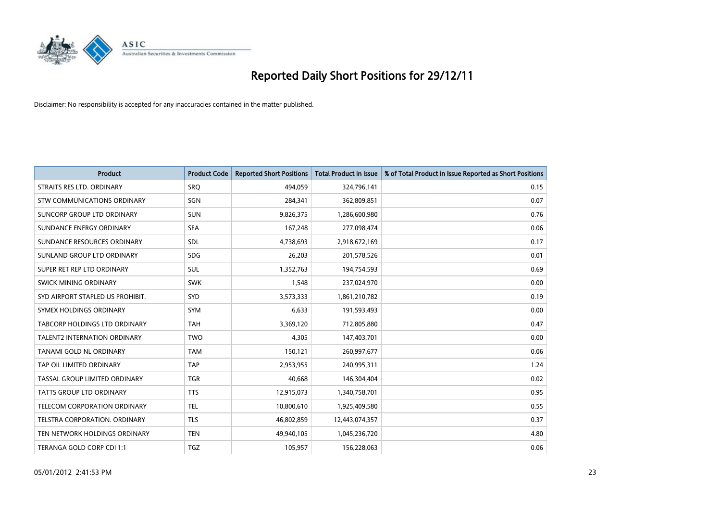

| <b>Product</b>                      | <b>Product Code</b> | <b>Reported Short Positions</b> | <b>Total Product in Issue</b> | % of Total Product in Issue Reported as Short Positions |
|-------------------------------------|---------------------|---------------------------------|-------------------------------|---------------------------------------------------------|
| STRAITS RES LTD. ORDINARY           | SRQ                 | 494,059                         | 324,796,141                   | 0.15                                                    |
| <b>STW COMMUNICATIONS ORDINARY</b>  | SGN                 | 284,341                         | 362,809,851                   | 0.07                                                    |
| SUNCORP GROUP LTD ORDINARY          | <b>SUN</b>          | 9,826,375                       | 1,286,600,980                 | 0.76                                                    |
| SUNDANCE ENERGY ORDINARY            | <b>SEA</b>          | 167,248                         | 277,098,474                   | 0.06                                                    |
| SUNDANCE RESOURCES ORDINARY         | <b>SDL</b>          | 4,738,693                       | 2,918,672,169                 | 0.17                                                    |
| SUNLAND GROUP LTD ORDINARY          | <b>SDG</b>          | 26,203                          | 201,578,526                   | 0.01                                                    |
| SUPER RET REP LTD ORDINARY          | <b>SUL</b>          | 1,352,763                       | 194,754,593                   | 0.69                                                    |
| SWICK MINING ORDINARY               | <b>SWK</b>          | 1,548                           | 237,024,970                   | 0.00                                                    |
| SYD AIRPORT STAPLED US PROHIBIT.    | <b>SYD</b>          | 3,573,333                       | 1,861,210,782                 | 0.19                                                    |
| SYMEX HOLDINGS ORDINARY             | <b>SYM</b>          | 6,633                           | 191,593,493                   | 0.00                                                    |
| TABCORP HOLDINGS LTD ORDINARY       | <b>TAH</b>          | 3,369,120                       | 712,805,880                   | 0.47                                                    |
| <b>TALENT2 INTERNATION ORDINARY</b> | <b>TWO</b>          | 4,305                           | 147,403,701                   | 0.00                                                    |
| TANAMI GOLD NL ORDINARY             | <b>TAM</b>          | 150,121                         | 260,997,677                   | 0.06                                                    |
| TAP OIL LIMITED ORDINARY            | <b>TAP</b>          | 2,953,955                       | 240,995,311                   | 1.24                                                    |
| TASSAL GROUP LIMITED ORDINARY       | <b>TGR</b>          | 40.668                          | 146,304,404                   | 0.02                                                    |
| TATTS GROUP LTD ORDINARY            | <b>TTS</b>          | 12,915,073                      | 1,340,758,701                 | 0.95                                                    |
| <b>TELECOM CORPORATION ORDINARY</b> | <b>TEL</b>          | 10,800,610                      | 1,925,409,580                 | 0.55                                                    |
| TELSTRA CORPORATION. ORDINARY       | <b>TLS</b>          | 46,802,859                      | 12,443,074,357                | 0.37                                                    |
| TEN NETWORK HOLDINGS ORDINARY       | <b>TEN</b>          | 49,940,105                      | 1,045,236,720                 | 4.80                                                    |
| TERANGA GOLD CORP CDI 1:1           | <b>TGZ</b>          | 105,957                         | 156,228,063                   | 0.06                                                    |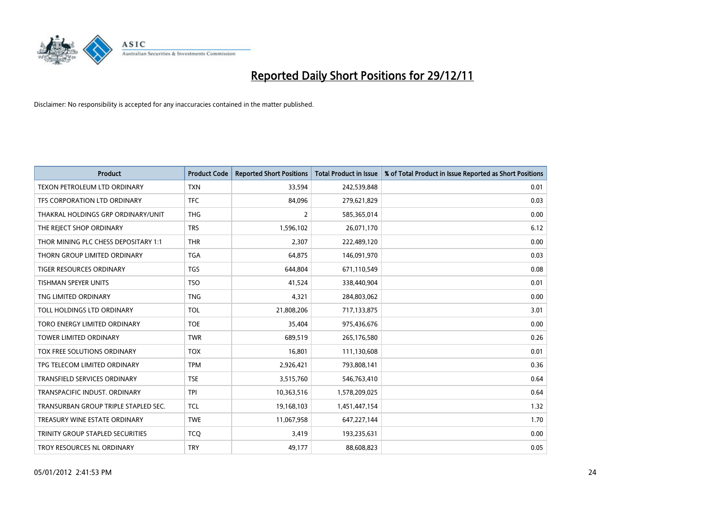

| <b>Product</b>                       | <b>Product Code</b> | <b>Reported Short Positions</b> | <b>Total Product in Issue</b> | % of Total Product in Issue Reported as Short Positions |
|--------------------------------------|---------------------|---------------------------------|-------------------------------|---------------------------------------------------------|
| <b>TEXON PETROLEUM LTD ORDINARY</b>  | <b>TXN</b>          | 33,594                          | 242,539,848                   | 0.01                                                    |
| TFS CORPORATION LTD ORDINARY         | <b>TFC</b>          | 84,096                          | 279,621,829                   | 0.03                                                    |
| THAKRAL HOLDINGS GRP ORDINARY/UNIT   | <b>THG</b>          | $\overline{2}$                  | 585,365,014                   | 0.00                                                    |
| THE REJECT SHOP ORDINARY             | <b>TRS</b>          | 1,596,102                       | 26,071,170                    | 6.12                                                    |
| THOR MINING PLC CHESS DEPOSITARY 1:1 | <b>THR</b>          | 2,307                           | 222,489,120                   | 0.00                                                    |
| THORN GROUP LIMITED ORDINARY         | <b>TGA</b>          | 64,875                          | 146,091,970                   | 0.03                                                    |
| <b>TIGER RESOURCES ORDINARY</b>      | <b>TGS</b>          | 644,804                         | 671,110,549                   | 0.08                                                    |
| TISHMAN SPEYER UNITS                 | <b>TSO</b>          | 41,524                          | 338,440,904                   | 0.01                                                    |
| TNG LIMITED ORDINARY                 | <b>TNG</b>          | 4,321                           | 284,803,062                   | 0.00                                                    |
| TOLL HOLDINGS LTD ORDINARY           | <b>TOL</b>          | 21,808,206                      | 717,133,875                   | 3.01                                                    |
| TORO ENERGY LIMITED ORDINARY         | <b>TOE</b>          | 35,404                          | 975,436,676                   | 0.00                                                    |
| <b>TOWER LIMITED ORDINARY</b>        | <b>TWR</b>          | 689,519                         | 265,176,580                   | 0.26                                                    |
| TOX FREE SOLUTIONS ORDINARY          | <b>TOX</b>          | 16,801                          | 111,130,608                   | 0.01                                                    |
| TPG TELECOM LIMITED ORDINARY         | <b>TPM</b>          | 2,926,421                       | 793,808,141                   | 0.36                                                    |
| <b>TRANSFIELD SERVICES ORDINARY</b>  | <b>TSE</b>          | 3,515,760                       | 546,763,410                   | 0.64                                                    |
| TRANSPACIFIC INDUST. ORDINARY        | <b>TPI</b>          | 10,363,516                      | 1,578,209,025                 | 0.64                                                    |
| TRANSURBAN GROUP TRIPLE STAPLED SEC. | <b>TCL</b>          | 19,168,103                      | 1,451,447,154                 | 1.32                                                    |
| TREASURY WINE ESTATE ORDINARY        | <b>TWE</b>          | 11,067,958                      | 647,227,144                   | 1.70                                                    |
| TRINITY GROUP STAPLED SECURITIES     | <b>TCO</b>          | 3,419                           | 193,235,631                   | 0.00                                                    |
| TROY RESOURCES NL ORDINARY           | <b>TRY</b>          | 49,177                          | 88,608,823                    | 0.05                                                    |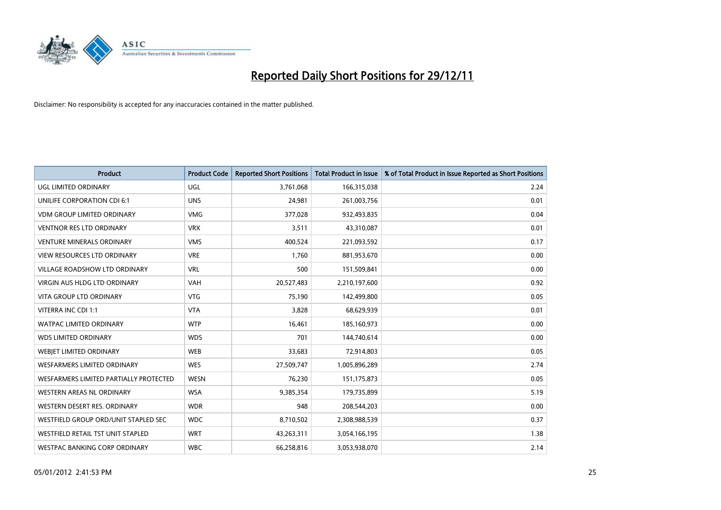

| <b>Product</b>                           | <b>Product Code</b> | <b>Reported Short Positions</b> | <b>Total Product in Issue</b> | % of Total Product in Issue Reported as Short Positions |
|------------------------------------------|---------------------|---------------------------------|-------------------------------|---------------------------------------------------------|
| UGL LIMITED ORDINARY                     | <b>UGL</b>          | 3,761,068                       | 166,315,038                   | 2.24                                                    |
| UNILIFE CORPORATION CDI 6:1              | <b>UNS</b>          | 24,981                          | 261,003,756                   | 0.01                                                    |
| <b>VDM GROUP LIMITED ORDINARY</b>        | <b>VMG</b>          | 377,028                         | 932,493,835                   | 0.04                                                    |
| <b>VENTNOR RES LTD ORDINARY</b>          | <b>VRX</b>          | 3,511                           | 43,310,087                    | 0.01                                                    |
| <b>VENTURE MINERALS ORDINARY</b>         | <b>VMS</b>          | 400,524                         | 221,093,592                   | 0.17                                                    |
| <b>VIEW RESOURCES LTD ORDINARY</b>       | <b>VRE</b>          | 1,760                           | 881,953,670                   | 0.00                                                    |
| <b>VILLAGE ROADSHOW LTD ORDINARY</b>     | <b>VRL</b>          | 500                             | 151,509,841                   | 0.00                                                    |
| <b>VIRGIN AUS HLDG LTD ORDINARY</b>      | <b>VAH</b>          | 20,527,483                      | 2,210,197,600                 | 0.92                                                    |
| <b>VITA GROUP LTD ORDINARY</b>           | <b>VTG</b>          | 75,190                          | 142,499,800                   | 0.05                                                    |
| VITERRA INC CDI 1:1                      | <b>VTA</b>          | 3,828                           | 68,629,939                    | 0.01                                                    |
| <b>WATPAC LIMITED ORDINARY</b>           | <b>WTP</b>          | 16,461                          | 185,160,973                   | 0.00                                                    |
| <b>WDS LIMITED ORDINARY</b>              | <b>WDS</b>          | 701                             | 144,740,614                   | 0.00                                                    |
| WEBIET LIMITED ORDINARY                  | <b>WEB</b>          | 33,683                          | 72,914,803                    | 0.05                                                    |
| <b>WESFARMERS LIMITED ORDINARY</b>       | <b>WES</b>          | 27,509,747                      | 1,005,896,289                 | 2.74                                                    |
| WESFARMERS LIMITED PARTIALLY PROTECTED   | <b>WESN</b>         | 76,230                          | 151, 175, 873                 | 0.05                                                    |
| WESTERN AREAS NL ORDINARY                | <b>WSA</b>          | 9,385,354                       | 179,735,899                   | 5.19                                                    |
| WESTERN DESERT RES. ORDINARY             | <b>WDR</b>          | 948                             | 208,544,203                   | 0.00                                                    |
| WESTFIELD GROUP ORD/UNIT STAPLED SEC     | <b>WDC</b>          | 8,710,502                       | 2,308,988,539                 | 0.37                                                    |
| <b>WESTFIELD RETAIL TST UNIT STAPLED</b> | <b>WRT</b>          | 43,263,311                      | 3,054,166,195                 | 1.38                                                    |
| WESTPAC BANKING CORP ORDINARY            | <b>WBC</b>          | 66,258,816                      | 3,053,938,070                 | 2.14                                                    |